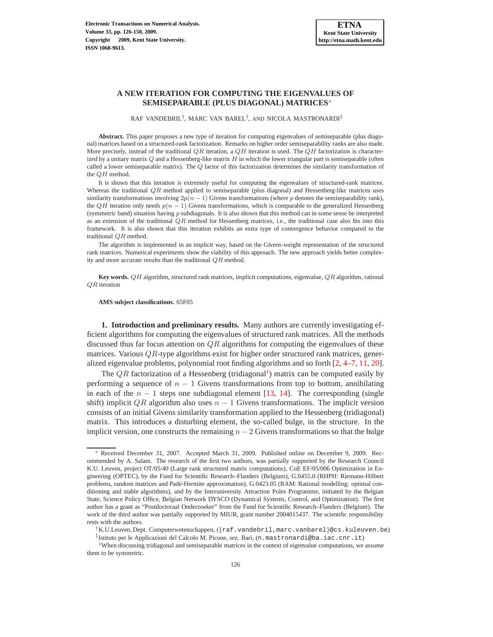# **A NEW ITERATION FOR COMPUTING THE EIGENVALUES OF SEMISEPARABLE (PLUS DIAGONAL) MATRICES**<sup>∗</sup>

RAF VANDEBRIL† , MARC VAN BAREL† , AND NICOLA MASTRONARDI‡

**Abstract.** This paper proposes a new type of iteration for computing eigenvalues of semiseparable (plus diagonal) matrices based on a structured-rank factorization. Remarks on higher order semiseparability ranks are also made. More precisely, instead of the traditional  $QR$  iteration, a  $QH$  iteration is used. The  $QH$  factorization is characterized by a unitary matrix  $Q$  and a Hessenberg-like matrix  $H$  in which the lower triangular part is semiseparable (often called a lower semiseparable matrix). The Q factor of this factorization determines the similarity transformation of the QH method.

It is shown that this iteration is extremely useful for computing the eigenvalues of structured-rank matrices. Whereas the traditional  $QR$  method applied to semiseparable (plus diagonal) and Hessenberg-like matrices uses similarity transformations involving  $2p(n - 1)$  Givens transformations (where p denotes the semiseparability rank), the QH iteration only needs  $p(n - 1)$  Givens transformations, which is comparable to the generalized Hessenberg (symmetric band) situation having  $p$  subdiagonals. It is also shown that this method can in some sense be interpreted as an extension of the traditional  $QR$  method for Hessenberg matrices, i.e., the traditional case also fits into this framework. It is also shown that this iteration exhibits an extra type of convergence behavior compared to the traditional QR method.

The algorithm is implemented in an implicit way, based on the Givens-weight representation of the structured rank matrices. Numerical experiments show the viability of this approach. The new approach yields better complexity and more accurate results than the traditional QR method.

**Key words.** QH algorithm, structured rank matrices, implicit computations, eigenvalue, QR algorithm, rational QR iteration

### **AMS subject classifications.** 65F05

**1. Introduction and preliminary results.** Many authors are currently investigating efficient algorithms for computing the eigenvalues of structured rank matrices. All the methods discussed thus far focus attention on  $QR$  algorithms for computing the eigenvalues of these matrices. Various  $QR$ -type algorithms exist for higher order structured rank matrices, generalized eigenvalue problems, polynomial root finding algorithms and so forth [\[2,](#page-23-0) [4](#page-23-1)[–7](#page-23-2), [11](#page-24-0), [20](#page-24-1)].

The  $QR$  factorization of a Hessenberg (tridiagonal<sup>[1](#page-0-0)</sup>) matrix can be computed easily by performing a sequence of  $n - 1$  Givens transformations from top to bottom, annihilating in each of the  $n - 1$  steps one subdiagonal element [\[13,](#page-24-2) [14](#page-24-3)]. The corresponding (single shift) implicit QR algorithm also uses  $n - 1$  Givens transformations. The implicit version consists of an initial Givens similarity transformation applied to the Hessenberg (tridiagonal) matrix. This introduces a disturbing element, the so-called bulge, in the structure. In the implicit version, one constructs the remaining  $n - 2$  Givens transformations so that the bulge

<sup>∗</sup> Received December 31, 2007. Accepted March 31, 2009. Published online on December 9, 2009. Recommended by A. Salam. The research of the first two authors, was partially supported by the Research Council K.U. Leuven, project OT/05/40 (Large rank structured matrix computations), CoE EF/05/006 Optimization in Engineering (OPTEC), by the Fund for Scientific Research–Flanders (Belgium), G.0455.0 (RHPH: Riemann-Hilbert problems, random matrices and Padé-Hermite approximation), G.0423.05 (RAM: Rational modelling: optimal conditioning and stable algorithms), and by the Interuniversity Attraction Poles Programme, initiated by the Belgian State, Science Policy Office, Belgian Network DYSCO (Dynamical Systems, Control, and Optimization). The first author has a grant as "Postdoctoraal Onderzoeker" from the Fund for Scientific Research–Flanders (Belgium). The work of the third author was partially supported by MIUR, grant number 2004015437. The scientific responsibility rests with the authors.

<sup>†</sup>K.U.Leuven, Dept. Computerwetenschappen, ({raf.vandebril,marc.vanbarel}@cs.kuleuven.be) ‡ Istituto per le Applicazioni del Calcolo M. Picone, sez. Bari, (n.mastronardi@ba.iac.cnr.it)

<span id="page-0-0"></span><sup>&</sup>lt;sup>1</sup>When discussing tridiagonal and semiseparable matrices in the context of eigenvalue computations, we assume them to be symmetric.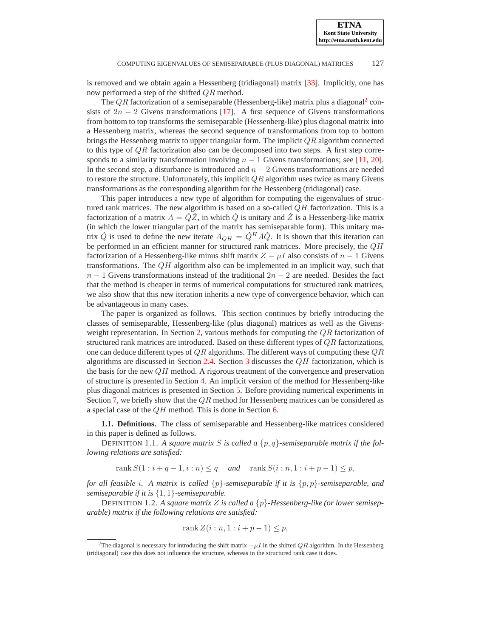is removed and we obtain again a Hessenberg (tridiagonal) matrix [\[33\]](#page-24-4). Implicitly, one has now performed a step of the shifted QR method.

The  $QR$  factorization of a semiseparable (Hessenberg-like) matrix plus a diagonal<sup>[2](#page-1-0)</sup> consists of  $2n - 2$  Givens transformations [\[17\]](#page-24-5). A first sequence of Givens transformations from bottom to top transforms the semiseparable (Hessenberg-like) plus diagonal matrix into a Hessenberg matrix, whereas the second sequence of transformations from top to bottom brings the Hessenberg matrix to upper triangular form. The implicit  $QR$  algorithm connected to this type of  $QR$  factorization also can be decomposed into two steps. A first step corresponds to a similarity transformation involving  $n - 1$  Givens transformations; see [\[11,](#page-24-0) [20](#page-24-1)]. In the second step, a disturbance is introduced and  $n - 2$  Givens transformations are needed to restore the structure. Unfortunately, this implicit  $QR$  algorithm uses twice as many Givens transformations as the corresponding algorithm for the Hessenberg (tridiagonal) case.

This paper introduces a new type of algorithm for computing the eigenvalues of structured rank matrices. The new algorithm is based on a so-called  $QH$  factorization. This is a factorization of a matrix  $A = \check{Q}\check{Z}$ , in which  $\check{Q}$  is unitary and  $\check{Z}$  is a Hessenberg-like matrix (in which the lower triangular part of the matrix has semiseparable form). This unitary matrix  $\check{Q}$  is used to define the new iterate  $A_{QH} = \check{Q}^H A \check{Q}$ . It is shown that this iteration can be performed in an efficient manner for structured rank matrices. More precisely, the QH factorization of a Hessenberg-like minus shift matrix  $Z - \mu I$  also consists of  $n - 1$  Givens transformations. The  $QH$  algorithm also can be implemented in an implicit way, such that  $n-1$  Givens transformations instead of the traditional  $2n-2$  are needed. Besides the fact that the method is cheaper in terms of numerical computations for structured rank matrices, we also show that this new iteration inherits a new type of convergence behavior, which can be advantageous in many cases.

The paper is organized as follows. This section continues by briefly introducing the classes of semiseparable, Hessenberg-like (plus diagonal) matrices as well as the Givens-weight representation. In Section [2,](#page-3-0) various methods for computing the  $QR$  factorization of structured rank matrices are introduced. Based on these different types of  $QR$  factorizations, one can deduce different types of  $QR$  algorithms. The different ways of computing these  $QR$ algorithms are discussed in Section [2.4.](#page-6-0) Section [3](#page-9-0) discusses the  $QH$  factorization, which is the basis for the new  $QH$  method. A rigorous treatment of the convergence and preservation of structure is presented in Section [4.](#page-11-0) An implicit version of the method for Hessenberg-like plus diagonal matrices is presented in Section [5.](#page-16-0) Before providing numerical experiments in Section [7,](#page-21-0) we briefly show that the  $QR$  method for Hessenberg matrices can be considered as a special case of the QH method. This is done in Section [6.](#page-20-0)

**1.1. Definitions.** The class of semiseparable and Hessenberg-like matrices considered in this paper is defined as follows.

DEFINITION 1.1. A square matrix S is called a  $\{p,q\}$ -semiseparable matrix if the fol*lowing relations are satisfied:*

 $rank S(1 : i + q - 1, i : n) \leq q$  *and*  $rank S(i : n, 1 : i + p - 1) \leq p$ ,

*for all feasible* i*. A matrix is called* {p}*-semiseparable if it is* {p, p}*-semiseparable, and semiseparable if it is* {1, 1}*-semiseparable.*

DEFINITION 1.2. *A square matrix* Z *is called a* {p}*-Hessenberg-like (or lower semiseparable) matrix if the following relations are satisfied:*

$$
rank Z(i:n, 1:i+p-1) \le p,
$$

<span id="page-1-0"></span><sup>&</sup>lt;sup>2</sup>The diagonal is necessary for introducing the shift matrix  $-\mu I$  in the shifted QR algorithm. In the Hessenberg (tridiagonal) case this does not influence the structure, whereas in the structured rank case it does.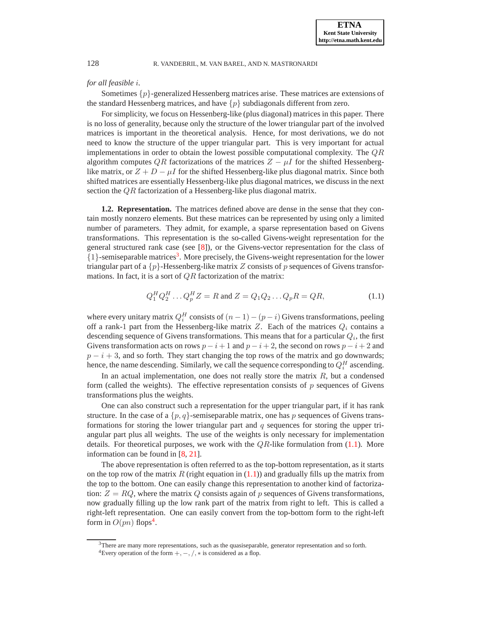# *for all feasible* i*.*

Sometimes  $\{p\}$ -generalized Hessenberg matrices arise. These matrices are extensions of the standard Hessenberg matrices, and have  $\{p\}$  subdiagonals different from zero.

For simplicity, we focus on Hessenberg-like (plus diagonal) matrices in this paper. There is no loss of generality, because only the structure of the lower triangular part of the involved matrices is important in the theoretical analysis. Hence, for most derivations, we do not need to know the structure of the upper triangular part. This is very important for actual implementations in order to obtain the lowest possible computational complexity. The QR algorithm computes QR factorizations of the matrices  $Z - \mu I$  for the shifted Hessenberglike matrix, or  $Z + D - \mu I$  for the shifted Hessenberg-like plus diagonal matrix. Since both shifted matrices are essentially Hessenberg-like plus diagonal matrices, we discuss in the next section the QR factorization of a Hessenberg-like plus diagonal matrix.

**1.2. Representation.** The matrices defined above are dense in the sense that they contain mostly nonzero elements. But these matrices can be represented by using only a limited number of parameters. They admit, for example, a sparse representation based on Givens transformations. This representation is the so-called Givens-weight representation for the general structured rank case (see [\[8\]](#page-23-3)), or the Givens-vector representation for the class of {1}-semiseparable matrices[3](#page-2-0) . More precisely, the Givens-weight representation for the lower triangular part of a  $\{p\}$ -Hessenberg-like matrix Z consists of p sequences of Givens transformations. In fact, it is a sort of  $QR$  factorization of the matrix:

<span id="page-2-1"></span>
$$
Q_1^H Q_2^H \dots Q_p^H Z = R \text{ and } Z = Q_1 Q_2 \dots Q_p R = QR,
$$
 (1.1)

where every unitary matrix  $Q_i^H$  consists of  $(n-1) - (p-i)$  Givens transformations, peeling off a rank-1 part from the Hessenberg-like matrix Z. Each of the matrices  $Q_i$  contains a descending sequence of Givens transformations. This means that for a particular  $Q_i$ , the first Givens transformation acts on rows  $p - i + 1$  and  $p - i + 2$ , the second on rows  $p - i + 2$  and  $p - i + 3$ , and so forth. They start changing the top rows of the matrix and go downwards; hence, the name descending. Similarly, we call the sequence corresponding to  $Q_i^H$  ascending.

In an actual implementation, one does not really store the matrix  $R$ , but a condensed form (called the weights). The effective representation consists of  $p$  sequences of Givens transformations plus the weights.

One can also construct such a representation for the upper triangular part, if it has rank structure. In the case of a  $\{p, q\}$ -semiseparable matrix, one has p sequences of Givens transformations for storing the lower triangular part and  $q$  sequences for storing the upper triangular part plus all weights. The use of the weights is only necessary for implementation details. For theoretical purposes, we work with the  $QR$ -like formulation from [\(1.1\)](#page-2-1). More information can be found in [\[8](#page-23-3), [21\]](#page-24-6).

The above representation is often referred to as the top-bottom representation, as it starts on the top row of the matrix R (right equation in  $(1.1)$ ) and gradually fills up the matrix from the top to the bottom. One can easily change this representation to another kind of factorization:  $Z = RQ$ , where the matrix Q consists again of p sequences of Givens transformations, now gradually filling up the low rank part of the matrix from right to left. This is called a right-left representation. One can easily convert from the top-bottom form to the right-left form in  $O(pn)$  flops<sup>[4](#page-2-2)</sup>.

<sup>3</sup>There are many more representations, such as the quasiseparable, generator representation and so forth.

<span id="page-2-2"></span><span id="page-2-0"></span><sup>&</sup>lt;sup>4</sup>Every operation of the form  $+$ ,  $-$ ,  $/$ ,  $*$  is considered as a flop.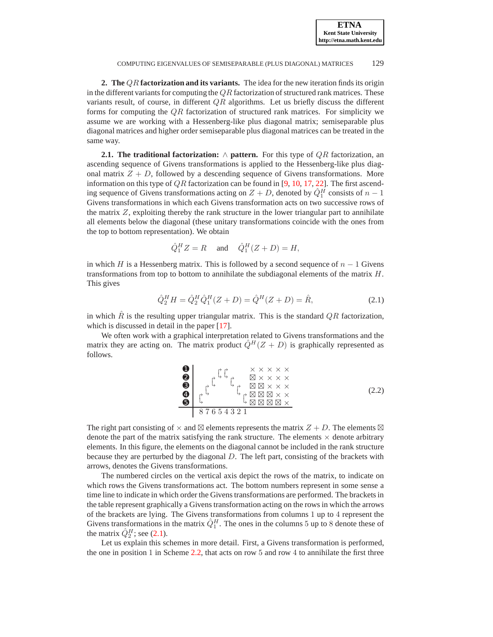**ETNA Kent State University http://etna.math.kent.edu**

COMPUTING EIGENVALUES OF SEMISEPARABLE (PLUS DIAGONAL) MATRICES 129

<span id="page-3-0"></span>**2. The** QR **factorization and its variants.** The idea for the new iteration finds its origin in the different variants for computing the  $QR$  factorization of structured rank matrices. These variants result, of course, in different  $QR$  algorithms. Let us briefly discuss the different forms for computing the  $\overline{QR}$  factorization of structured rank matrices. For simplicity we assume we are working with a Hessenberg-like plus diagonal matrix; semiseparable plus diagonal matrices and higher order semiseparable plus diagonal matrices can be treated in the same way.

<span id="page-3-3"></span>**2.1. The traditional factorization:** ∧ **pattern.** For this type of QR factorization, an ascending sequence of Givens transformations is applied to the Hessenberg-like plus diagonal matrix  $Z + D$ , followed by a descending sequence of Givens transformations. More information on this type of  $QR$  factorization can be found in [\[9,](#page-23-4) [10,](#page-23-5) [17](#page-24-5), [22](#page-24-7)]. The first ascending sequence of Givens transformations acting on  $Z + D$ , denoted by  $\hat{Q}_1^H$  consists of  $n - 1$ Givens transformations in which each Givens transformation acts on two successive rows of the matrix  $Z$ , exploiting thereby the rank structure in the lower triangular part to annihilate all elements below the diagonal (these unitary transformations coincide with the ones from the top to bottom representation). We obtain

$$
\hat{Q}_1^H Z = R \quad \text{and} \quad \hat{Q}_1^H (Z + D) = H,
$$

in which H is a Hessenberg matrix. This is followed by a second sequence of  $n - 1$  Givens transformations from top to bottom to annihilate the subdiagonal elements of the matrix  $H$ . This gives

<span id="page-3-1"></span>
$$
\hat{Q}_2^H H = \hat{Q}_2^H \hat{Q}_1^H (Z + D) = \hat{Q}^H (Z + D) = \hat{R},\tag{2.1}
$$

in which  $\hat{R}$  is the resulting upper triangular matrix. This is the standard QR factorization, which is discussed in detail in the paper [\[17](#page-24-5)].

We often work with a graphical interpretation related to Givens transformations and the matrix they are acting on. The matrix product  $\hat{Q}^{H}(Z + D)$  is graphically represented as follows.

<span id="page-3-2"></span>\n 0\n 
$$
\uparrow
$$
  $\uparrow$   $\uparrow$   $\uparrow$   $\uparrow$   $\uparrow$   $\uparrow$   $\uparrow$   $\uparrow$   $\uparrow$   $\uparrow$   $\uparrow$   $\uparrow$   $\uparrow$   $\uparrow$   $\uparrow$   $\uparrow$   $\uparrow$   $\uparrow$   $\uparrow$   $\uparrow$   $\uparrow$   $\uparrow$   $\uparrow$   $\uparrow$   $\uparrow$   $\uparrow$   $\uparrow$   $\uparrow$   $\uparrow$   $\uparrow$   $\uparrow$   $\uparrow$   $\uparrow$   $\uparrow$   $\uparrow$   $\uparrow$   $\uparrow$   $\uparrow$   $\uparrow$   $\uparrow$   $\uparrow$   $\uparrow$   $\uparrow$   $\uparrow$   $\uparrow$   $\uparrow$   $\uparrow$   $\uparrow$   $\uparrow$   $\uparrow$   $\uparrow$   $\uparrow$   $\uparrow$   $\uparrow$   $\uparrow$   $\uparrow$   $\uparrow$   $\uparrow$   $\uparrow$   $\uparrow$   $\uparrow$   $\uparrow$   $\uparrow$   $\uparrow$   $\uparrow$   $\uparrow$   $\uparrow$   $\uparrow$   $\uparrow$   $\uparrow$   $\uparrow$   $\uparrow$   $\uparrow$   $\uparrow$   $\uparrow$   $\uparrow$   $\uparrow$   $\uparrow$   $\uparrow$   $\uparrow$   $\uparrow$   $\uparrow$   $\uparrow$   $\uparrow$   $\uparrow$   $\uparrow$   $\uparrow$   $\uparrow$   $\uparrow$   $\uparrow$   $\uparrow$   $\uparrow$   $\uparrow$   $\uparrow$ 

The right part consisting of  $\times$  and  $\boxtimes$  elements represents the matrix  $Z + D$ . The elements  $\boxtimes$ denote the part of the matrix satisfying the rank structure. The elements  $\times$  denote arbitrary elements. In this figure, the elements on the diagonal cannot be included in the rank structure because they are perturbed by the diagonal D. The left part, consisting of the brackets with arrows, denotes the Givens transformations.

The numbered circles on the vertical axis depict the rows of the matrix, to indicate on which rows the Givens transformations act. The bottom numbers represent in some sense a time line to indicate in which order the Givens transformations are performed. The brackets in the table represent graphically a Givens transformation acting on the rows in which the arrows of the brackets are lying. The Givens transformations from columns 1 up to 4 represent the Givens transformations in the matrix  $\hat{Q}_1^H$ . The ones in the columns 5 up to 8 denote these of the matrix  $\hat{Q}_2^H$ ; see [\(2.1\)](#page-3-1).

Let us explain this schemes in more detail. First, a Givens transformation is performed, the one in position 1 in Scheme [2.2,](#page-3-2) that acts on row 5 and row 4 to annihilate the first three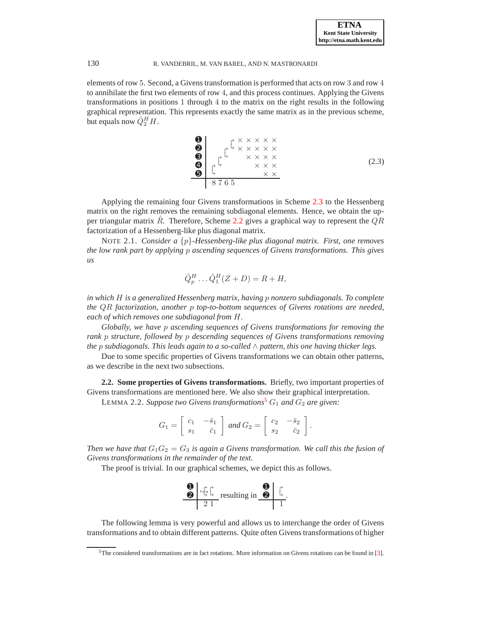elements of row 5. Second, a Givens transformation is performed that acts on row 3 and row 4 to annihilate the first two elements of row 4, and this process continues. Applying the Givens transformations in positions 1 through 4 to the matrix on the right results in the following graphical representation. This represents exactly the same matrix as in the previous scheme, but equals now  $\hat{Q}_2^H H$ .

<span id="page-4-0"></span>\n
$$
\begin{array}{c}\n 0 \\
0 \\
0 \\
1\n \end{array}\n \quad\n \begin{array}{c}\n \uparrow \times \times \times \times \times \\
\downarrow \times \times \times \times \times \\
\times \times \times \times \times \\
\hline\n \times \times \times\n \end{array}
$$
\n  
\n $\begin{array}{c}\n 0 \\
1\n \end{array}\n \quad \begin{array}{c}\n \downarrow \times \times \times \times \\
\times \times \times \times \\
\hline\n \times \times \times\n \end{array}$ \n  
\n $\begin{array}{c}\n 0.3\n \end{array}$ \n

Applying the remaining four Givens transformations in Scheme [2.3](#page-4-0) to the Hessenberg matrix on the right removes the remaining subdiagonal elements. Hence, we obtain the upper triangular matrix  $R<sub>i</sub>$ . Therefore, Scheme [2.2](#page-3-2) gives a graphical way to represent the  $QR$ factorization of a Hessenberg-like plus diagonal matrix.

<span id="page-4-3"></span>NOTE 2.1. *Consider a* {p}*-Hessenberg-like plus diagonal matrix. First, one removes the low rank part by applying* p *ascending sequences of Givens transformations. This gives us*

$$
\hat{Q}_p^H \dots \hat{Q}_1^H (Z + D) = R + H,
$$

*in which* H *is a generalized Hessenberg matrix, having* p *nonzero subdiagonals. To complete the* QR *factorization, another* p *top-to-bottom sequences of Givens rotations are needed, each of which removes one subdiagonal from* H*.*

*Globally, we have* p *ascending sequences of Givens transformations for removing the rank* p *structure, followed by* p *descending sequences of Givens transformations removing the* p *subdiagonals. This leads again to a so-called* ∧ *pattern, this one having thicker legs.*

Due to some specific properties of Givens transformations we can obtain other patterns, as we describe in the next two subsections.

<span id="page-4-2"></span>**2.2. Some properties of Givens transformations.** Briefly, two important properties of Givens transformations are mentioned here. We also show their graphical interpretation.

LEMMA 2.2. *Suppose two Givens transformations<sup>[5](#page-4-1)</sup>*  $G_1$  *and*  $G_2$  *are given:* 

$$
G_1 = \left[ \begin{array}{cc} c_1 & -\bar{s}_1 \\ s_1 & \bar{c}_1 \end{array} \right] \text{ and } G_2 = \left[ \begin{array}{cc} c_2 & -\bar{s}_2 \\ s_2 & \bar{c}_2 \end{array} \right].
$$

*Then we have that*  $G_1G_2 = G_3$  *is again a Givens transformation. We call this the fusion of Givens transformations in the remainder of the text.*

The proof is trivial. In our graphical schemes, we depict this as follows.



The following lemma is very powerful and allows us to interchange the order of Givens transformations and to obtain different patterns. Quite often Givens transformations of higher

<span id="page-4-1"></span><sup>5</sup>The considered transformations are in fact rotations. More information on Givens rotations can be found in [\[3](#page-23-6)].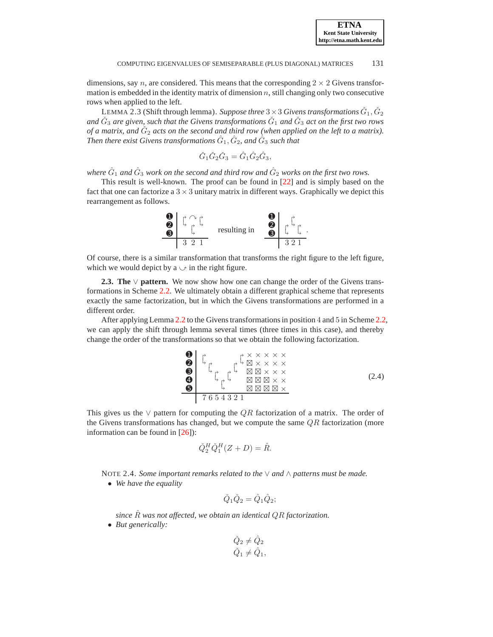dimensions, say n, are considered. This means that the corresponding  $2 \times 2$  Givens transformation is embedded in the identity matrix of dimension  $n$ , still changing only two consecutive rows when applied to the left.

LEMMA 2.3 (Shift through lemma). *Suppose three*  $3 \times 3$  *Givens transformations*  $\check{G}_1$ ,  $\check{G}_2$ and  $\check{G}_3$  are given, such that the Givens transformations  $\check{G}_1$  and  $\check{G}_3$  act on the first two rows of a matrix, and  $\check{G}_2$  acts on the second and third row (when applied on the left to a matrix). Then there exist Givens transformations  $\hat{G}_{1}, \hat{G}_{2}$ , and  $\hat{G}_{3}$  such that

$$
\check{G}_1 \check{G}_2 \check{G}_3 = \hat{G}_1 \hat{G}_2 \hat{G}_3,
$$

where  $\hat{G}_1$  and  $\hat{G}_3$  work on the second and third row and  $\hat{G}_2$  works on the first two rows.

This result is well-known. The proof can be found in [\[22](#page-24-7)] and is simply based on the fact that one can factorize a  $3 \times 3$  unitary matrix in different ways. Graphically we depict this rearrangement as follows.



Of course, there is a similar transformation that transforms the right figure to the left figure, which we would depict by a  $\circ$  in the right figure.

<span id="page-5-1"></span>**2.3. The** ∨ **pattern.** We now show how one can change the order of the Givens transformations in Scheme [2.2.](#page-3-2) We ultimately obtain a different graphical scheme that represents exactly the same factorization, but in which the Givens transformations are performed in a different order.

After applying Lemma [2.2](#page-4-2) to the Givens transformations in position 4 and 5 in Scheme [2.2,](#page-3-2) we can apply the shift through lemma several times (three times in this case), and thereby change the order of the transformations so that we obtain the following factorization.

<span id="page-5-0"></span>➊ × × × × × ➋ <sup>⊠</sup> × × × × ➌ ⊠ ⊠ × × × ➍ ⊠ ⊠ ⊠ × × ➎ ⊠ ⊠ ⊠ ⊠ <sup>×</sup> 7 6 5 4 3 2 1 (2.4)

This gives us the  $\vee$  pattern for computing the QR factorization of a matrix. The order of the Givens transformations has changed, but we compute the same  $QR$  factorization (more information can be found in [\[26\]](#page-24-8)):

$$
\check{Q}_2^H \check{Q}_1^H (Z + D) = \hat{R}.
$$

NOTE 2.4. *Some important remarks related to the* ∨ *and* ∧ *patterns must be made.*

• *We have the equality*

$$
\check{Q}_1 \check{Q}_2 = \hat{Q}_1 \hat{Q}_2;
$$

*since* Rˆ *was not affected, we obtain an identical* QR *factorization.*

• *But generically:*

$$
\begin{aligned}\n\check{Q}_2 &\neq \hat{Q}_2\\ \n\check{Q}_1 &\neq \hat{Q}_1,\n\end{aligned}
$$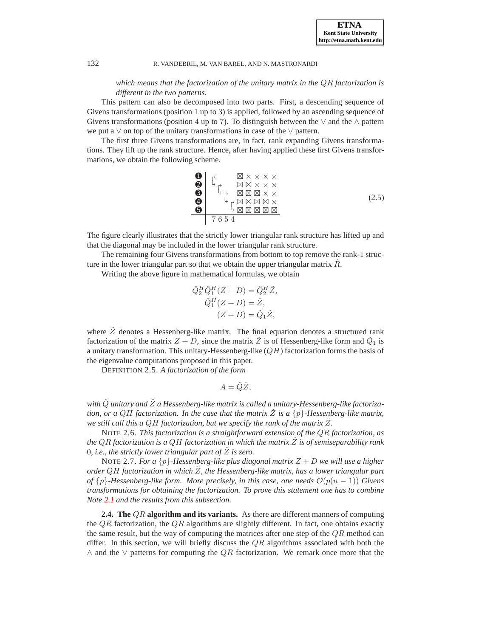*which means that the factorization of the unitary matrix in the* QR *factorization is different in the two patterns.*

This pattern can also be decomposed into two parts. First, a descending sequence of Givens transformations (position 1 up to 3) is applied, followed by an ascending sequence of Givens transformations (position 4 up to 7). To distinguish between the  $\vee$  and the  $\wedge$  pattern we put a ∨ on top of the unitary transformations in case of the ∨ pattern.

The first three Givens transformations are, in fact, rank expanding Givens transformations. They lift up the rank structure. Hence, after having applied these first Givens transformations, we obtain the following scheme.

<span id="page-6-1"></span><sup>➊</sup> <sup>⊠</sup> × × × × ➋ ⊠ ⊠ × × × ➌ ⊠ ⊠ ⊠ × × ➍ ⊠ ⊠ ⊠ ⊠ <sup>×</sup> ➎ ⊠ ⊠ ⊠ ⊠ ⊠ 7 6 5 4 (2.5)

The figure clearly illustrates that the strictly lower triangular rank structure has lifted up and that the diagonal may be included in the lower triangular rank structure.

The remaining four Givens transformations from bottom to top remove the rank-1 structure in the lower triangular part so that we obtain the upper triangular matrix  $\hat{R}$ .

Writing the above figure in mathematical formulas, we obtain

$$
\tilde{Q}_2^H \tilde{Q}_1^H (Z+D) = \tilde{Q}_2^H \tilde{Z},
$$
  
\n
$$
\tilde{Q}_1^H (Z+D) = \tilde{Z},
$$
  
\n
$$
(Z+D) = \tilde{Q}_1 \tilde{Z},
$$

where  $\check{Z}$  denotes a Hessenberg-like matrix. The final equation denotes a structured rank factorization of the matrix  $Z + D$ , since the matrix  $\check{Z}$  is of Hessenberg-like form and  $\check{Q}_1$  is a unitary transformation. This unitary-Hessenberg-like  $(QH)$  factorization forms the basis of the eigenvalue computations proposed in this paper.

DEFINITION 2.5. *A factorization of the form*

$$
A = \check{Q}\check{Z},
$$

with  $\check Q$  unitary and  $\check Z$  a Hessenberg-like matrix is called a unitary-Hessenberg-like factoriza*tion, or a QH factorization. In the case that the matrix Z is a*  $\{p\}$ -Hessenberg-like matrix, *we still call this a* QH *factorization, but we specify the rank of the matrix* Zˇ*.*

NOTE 2.6. *This factorization is a straightforward extension of the* QR *factorization, as the* QR *factorization is a QH factorization in which the matrix*  $\check{Z}$  *is of semiseparability rank* 0, *i.e., the strictly lower triangular part of*  $Z$  *is zero.* 

NOTE 2.7. *For a* {p}*-Hessenberg-like plus diagonal matrix* Z + D *we will use a higher order* QH *factorization in which* Zˇ*, the Hessenberg-like matrix, has a lower triangular part of*  $\{p\}$ *-Hessenberg-like form. More precisely, in this case, one needs*  $\mathcal{O}(p(n-1))$  *Givens transformations for obtaining the factorization. To prove this statement one has to combine Note [2.1](#page-4-3) and the results from this subsection.*

<span id="page-6-0"></span>**2.4. The** QR **algorithm and its variants.** As there are different manners of computing the  $QR$  factorization, the  $QR$  algorithms are slightly different. In fact, one obtains exactly the same result, but the way of computing the matrices after one step of the  $QR$  method can differ. In this section, we will briefly discuss the  $QR$  algorithms associated with both the  $\wedge$  and the  $\vee$  patterns for computing the  $QR$  factorization. We remark once more that the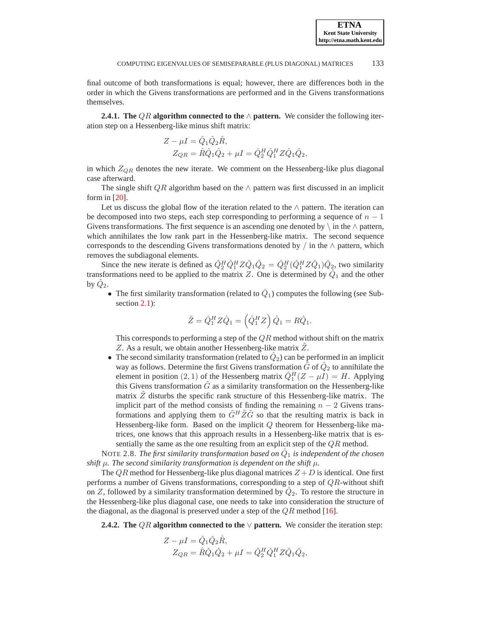final outcome of both transformations is equal; however, there are differences both in the order in which the Givens transformations are performed and in the Givens transformations themselves.

**2.4.1. The** QR **algorithm connected to the** ∧ **pattern.** We consider the following iteration step on a Hessenberg-like minus shift matrix:

$$
Z - \mu I = \hat{Q}_1 \hat{Q}_2 \hat{R},
$$
  
\n
$$
Z_{QR} = \hat{R}\hat{Q}_1 \hat{Q}_2 + \mu I = \hat{Q}_2^H \hat{Q}_1^H Z \hat{Q}_1 \hat{Q}_2,
$$

in which  $Z_{QR}$  denotes the new iterate. We comment on the Hessenberg-like plus diagonal case afterward.

The single shift QR algorithm based on the  $\land$  pattern was first discussed in an implicit form in  $[20]$ .

Let us discuss the global flow of the iteration related to the  $\land$  pattern. The iteration can be decomposed into two steps, each step corresponding to performing a sequence of  $n - 1$ Givens transformations. The first sequence is an ascending one denoted by  $\langle$  in the  $\land$  pattern, which annihilates the low rank part in the Hessenberg-like matrix. The second sequence corresponds to the descending Givens transformations denoted by / in the  $\land$  pattern, which removes the subdiagonal elements.

Since the new iterate is defined as  $\hat{Q}_2^H \hat{Q}_1^H Z \hat{Q}_1 \hat{Q}_2 = \hat{Q}_2^H (\hat{Q}_1^H Z \hat{Q}_1) \hat{Q}_2$ , two similarity transformations need to be applied to the matrix Z. One is determined by  $\hat{Q}_1$  and the other by  $\hat{Q}_2$ .

• The first similarity transformation (related to  $\hat{Q}_1$ ) computes the following (see Sub-section [2.1\)](#page-3-3):

$$
\tilde{Z} = \hat{Q}_1^H Z \hat{Q}_1 = \left(\hat{Q}_1^H Z\right) \hat{Q}_1 = R \hat{Q}_1.
$$

This corresponds to performing a step of the  $QR$  method without shift on the matrix Z. As a result, we obtain another Hessenberg-like matrix  $Z$ .

• The second similarity transformation (related to  $\hat{Q}_2$ ) can be performed in an implicit way as follows. Determine the first Givens transformation  $\tilde{G}$  of  $\hat{Q}_2$  to annihilate the element in position (2, 1) of the Hessenberg matrix  $\hat{Q}_1^H(Z - \mu I) = H$ . Applying this Givens transformation  $\tilde{G}$  as a similarity transformation on the Hessenberg-like matrix  $\tilde{Z}$  disturbs the specific rank structure of this Hessenberg-like matrix. The implicit part of the method consists of finding the remaining  $n - 2$  Givens transformations and applying them to  $\tilde{G}^H \tilde{Z} \tilde{G}$  so that the resulting matrix is back in Hessenberg-like form. Based on the implicit Q theorem for Hessenberg-like matrices, one knows that this approach results in a Hessenberg-like matrix that is essentially the same as the one resulting from an explicit step of the  $QR$  method.

<span id="page-7-0"></span>NOTE 2.8. *The first similarity transformation based on*  $\hat{Q}_1$  *is independent of the chosen shift*  $\mu$ *. The second similarity transformation is dependent on the shift*  $\mu$ *.* 

The QR method for Hessenberg-like plus diagonal matrices  $Z + D$  is identical. One first performs a number of Givens transformations, corresponding to a step of  $QR$ -without shift on Z, followed by a similarity transformation determined by  $\hat{Q}_2$ . To restore the structure in the Hessenberg-like plus diagonal case, one needs to take into consideration the structure of the diagonal, as the diagonal is preserved under a step of the  $QR$  method [\[16](#page-24-9)].

**2.4.2. The** QR **algorithm connected to the** ∨ **pattern.** We consider the iteration step:

$$
Z - \mu I = \check{Q}_1 \check{Q}_2 \hat{R},
$$
  
\n
$$
Z_{QR} = \hat{R}\check{Q}_1 \check{Q}_2 + \mu I = \check{Q}_2^H \check{Q}_1^H Z \check{Q}_1 \check{Q}_2,
$$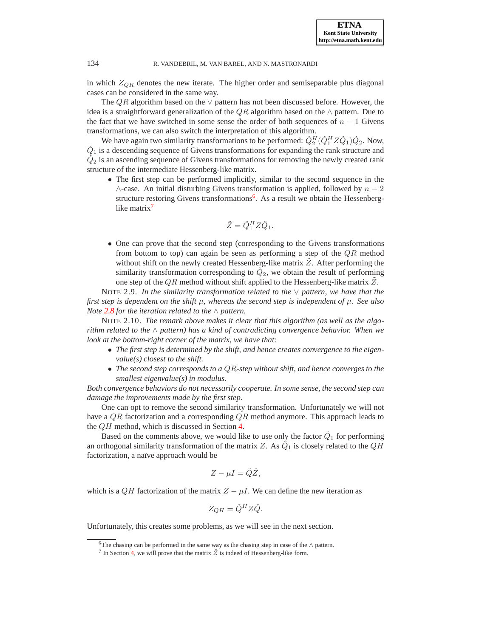in which  $Z_{QR}$  denotes the new iterate. The higher order and semiseparable plus diagonal cases can be considered in the same way.

The  $QR$  algorithm based on the  $\vee$  pattern has not been discussed before. However, the idea is a straightforward generalization of the QR algorithm based on the  $\land$  pattern. Due to the fact that we have switched in some sense the order of both sequences of  $n - 1$  Givens transformations, we can also switch the interpretation of this algorithm.

We have again two similarity transformations to be performed:  $\check{Q}_2^H(\check{Q}_1^H Z \check{Q}_1) \check{Q}_2$ . Now,  $\check{Q}_1$  is a descending sequence of Givens transformations for expanding the rank structure and  $\check{Q}_2$  is an ascending sequence of Givens transformations for removing the newly created rank structure of the intermediate Hessenberg-like matrix.

• The first step can be performed implicitly, similar to the second sequence in the  $\wedge$ -case. An initial disturbing Givens transformation is applied, followed by  $n-2$ structure restoring Givens transformations<sup>[6](#page-8-0)</sup>. As a result we obtain the Hessenberglike matrix $^7$  $^7$ 

$$
\tilde{Z} = \check{Q}_1^H Z \check{Q}_1.
$$

• One can prove that the second step (corresponding to the Givens transformations from bottom to top) can again be seen as performing a step of the  $QR$  method without shift on the newly created Hessenberg-like matrix  $Z$ . After performing the similarity transformation corresponding to  $\check{Q}_2$ , we obtain the result of performing one step of the  $QR$  method without shift applied to the Hessenberg-like matrix  $Z$ .

NOTE 2.9. *In the similarity transformation related to the* ∨ *pattern, we have that the first step is dependent on the shift* µ*, whereas the second step is independent of* µ*. See also Note [2.8](#page-7-0) for the iteration related to the* ∧ *pattern.*

NOTE 2.10. *The remark above makes it clear that this algorithm (as well as the algorithm related to the* ∧ *pattern) has a kind of contradicting convergence behavior. When we look at the bottom-right corner of the matrix, we have that:*

- *The first step is determined by the shift, and hence creates convergence to the eigenvalue(s) closest to the shift.*
- *The second step corresponds to a* QR*-step without shift, and hence converges to the smallest eigenvalue(s) in modulus.*

*Both convergence behaviors do not necessarily cooperate. In some sense, the second step can damage the improvements made by the first step.*

One can opt to remove the second similarity transformation. Unfortunately we will not have a  $QR$  factorization and a corresponding  $QR$  method anymore. This approach leads to the QH method, which is discussed in Section [4.](#page-11-0)

Based on the comments above, we would like to use only the factor  $\check{Q}_1$  for performing an orthogonal similarity transformation of the matrix Z. As  $\check{Q}_1$  is closely related to the  $QH$ factorization, a naïve approach would be

$$
Z - \mu I = \check{Q}\check{Z},
$$

which is a QH factorization of the matrix  $Z - \mu I$ . We can define the new iteration as

$$
Z_{QH} = \check{Q}^H Z \check{Q}.
$$

Unfortunately, this creates some problems, as we will see in the next section.

<sup>6</sup>The chasing can be performed in the same way as the chasing step in case of the ∧ pattern.

<span id="page-8-1"></span><span id="page-8-0"></span><sup>&</sup>lt;sup>7</sup> In Section [4,](#page-11-0) we will prove that the matrix  $\tilde{Z}$  is indeed of Hessenberg-like form.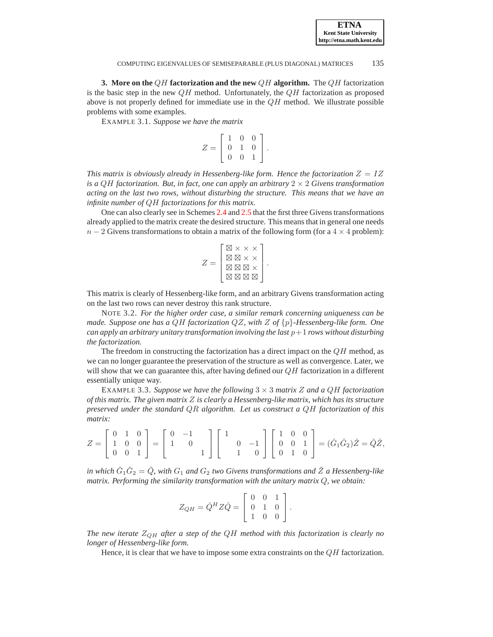<span id="page-9-0"></span>**3. More on the** QH **factorization and the new** QH **algorithm.** The QH factorization is the basic step in the new  $QH$  method. Unfortunately, the  $QH$  factorization as proposed above is not properly defined for immediate use in the  $QH$  method. We illustrate possible problems with some examples.

EXAMPLE 3.1. *Suppose we have the matrix*

$$
Z = \left[ \begin{array}{rrr} 1 & 0 & 0 \\ 0 & 1 & 0 \\ 0 & 0 & 1 \end{array} \right].
$$

*This matrix is obviously already in Hessenberg-like form. Hence the factorization*  $Z = IZ$ *is a QH factorization. But, in fact, one can apply an arbitrary*  $2 \times 2$  *Givens transformation acting on the last two rows, without disturbing the structure. This means that we have an infinite number of* QH *factorizations for this matrix.*

One can also clearly see in Schemes [2.4](#page-5-0) and [2.5](#page-6-1) that the first three Givens transformations already applied to the matrix create the desired structure. This means that in general one needs  $n-2$  Givens transformations to obtain a matrix of the following form (for a  $4 \times 4$  problem):

$$
Z = \left[\begin{matrix} \boxtimes \times \times \times \\ \boxtimes \boxtimes \times \times \\ \boxtimes \boxtimes \boxtimes \times \\ \boxtimes \boxtimes \boxtimes \times \end{matrix}\right]
$$

.

This matrix is clearly of Hessenberg-like form, and an arbitrary Givens transformation acting on the last two rows can never destroy this rank structure.

NOTE 3.2. *For the higher order case, a similar remark concerning uniqueness can be made. Suppose one has a* QH *factorization* QZ*, with* Z *of* {p}*-Hessenberg-like form. One can apply an arbitrary unitary transformation involving the last*  $p+1$  *rows without disturbing the factorization.*

The freedom in constructing the factorization has a direct impact on the  $QH$  method, as we can no longer guarantee the preservation of the structure as well as convergence. Later, we will show that we can guarantee this, after having defined our  $QH$  factorization in a different essentially unique way.

EXAMPLE 3.3. *Suppose we have the following* 3 × 3 *matrix* Z *and a* QH *factorization of this matrix. The given matrix* Z *is clearly a Hessenberg-like matrix, which has its structure preserved under the standard* QR *algorithm. Let us construct a* QH *factorization of this matrix:*

$$
Z = \begin{bmatrix} 0 & 1 & 0 \\ 1 & 0 & 0 \\ 0 & 0 & 1 \end{bmatrix} = \begin{bmatrix} 0 & -1 \\ 1 & 0 \\ 0 & 1 \end{bmatrix} \begin{bmatrix} 1 & 0 & 0 \\ 0 & -1 \\ 1 & 0 \end{bmatrix} \begin{bmatrix} 1 & 0 & 0 \\ 0 & 0 & 1 \\ 0 & 1 & 0 \end{bmatrix} = (\check{G}_1 \check{G}_2) \check{Z} = \check{Q} \check{Z},
$$

in which  $\check{G}_1 \check{G}_2 = \check{Q}$ , with  $G_1$  and  $G_2$  two Givens transformations and  $\check{Z}$  a Hessenberg-like *matrix. Performing the similarity transformation with the unitary matrix* Q*, we obtain:*

$$
Z_{QH} = \check{Q}^H Z \check{Q} = \left[ \begin{array}{ccc} 0 & 0 & 1 \\ 0 & 1 & 0 \\ 1 & 0 & 0 \end{array} \right].
$$

*The new iterate* ZQH *after a step of the* QH *method with this factorization is clearly no longer of Hessenberg-like form.*

Hence, it is clear that we have to impose some extra constraints on the  $QH$  factorization.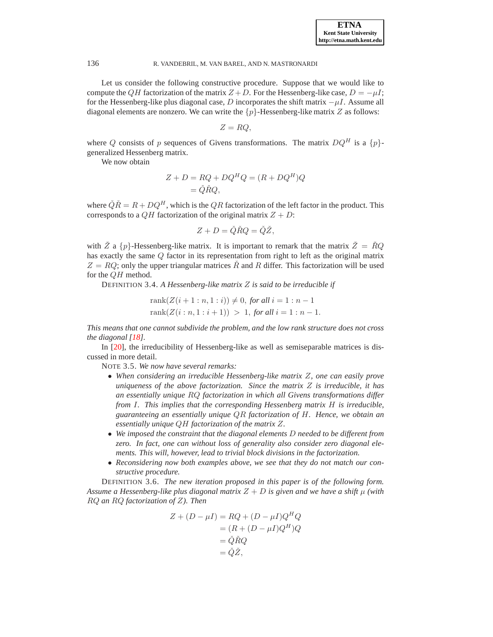Let us consider the following constructive procedure. Suppose that we would like to compute the QH factorization of the matrix  $Z + D$ . For the Hessenberg-like case,  $D = -\mu I$ ; for the Hessenberg-like plus diagonal case, D incorporates the shift matrix  $-\mu I$ . Assume all diagonal elements are nonzero. We can write the  $\{p\}$ -Hessenberg-like matrix Z as follows:

$$
Z=RQ,
$$

where Q consists of p sequences of Givens transformations. The matrix  $DQ^H$  is a  $\{p\}$ generalized Hessenberg matrix.

We now obtain

$$
Z + D = RQ + DQHQ = (R + DQH)Q
$$

$$
= \check{Q}\check{R}Q,
$$

where  $\check{Q}\check{R} = R + DQ^H$ , which is the QR factorization of the left factor in the product. This corresponds to a  $QH$  factorization of the original matrix  $Z + D$ :

$$
Z+D=\check{Q}\check{R}Q=\check{Q}\check{Z},
$$

with  $\tilde{Z}$  a  $\{p\}$ -Hessenberg-like matrix. It is important to remark that the matrix  $\tilde{Z} = \tilde{R}Q$ has exactly the same Q factor in its representation from right to left as the original matrix  $Z = RQ$ ; only the upper triangular matrices  $\tilde{R}$  and R differ. This factorization will be used for the QH method.

<span id="page-10-1"></span>DEFINITION 3.4. *A Hessenberg-like matrix* Z *is said to be irreducible if*

rank
$$
(Z(i + 1 : n, 1 : i)) \neq 0
$$
, for all  $i = 1 : n - 1$   
rank $(Z(i : n, 1 : i + 1)) > 1$ , for all  $i = 1 : n - 1$ .

*This means that one cannot subdivide the problem, and the low rank structure does not cross the diagonal [\[18](#page-24-10)].*

In [\[20\]](#page-24-1), the irreducibility of Hessenberg-like as well as semiseparable matrices is discussed in more detail.

NOTE 3.5. *We now have several remarks:*

- *When considering an irreducible Hessenberg-like matrix* Z*, one can easily prove uniqueness of the above factorization. Since the matrix* Z *is irreducible, it has an essentially unique* RQ *factorization in which all Givens transformations differ from* I*. This implies that the corresponding Hessenberg matrix* H *is irreducible, guaranteeing an essentially unique* QR *factorization of* H*. Hence, we obtain an essentially unique* QH *factorization of the matrix* Z*.*
- *We imposed the constraint that the diagonal elements* D *needed to be different from zero. In fact, one can without loss of generality also consider zero diagonal elements. This will, however, lead to trivial block divisions in the factorization.*
- *Reconsidering now both examples above, we see that they do not match our constructive procedure.*

<span id="page-10-0"></span>DEFINITION 3.6. *The new iteration proposed in this paper is of the following form. Assume a Hessenberg-like plus diagonal matrix*  $Z + D$  *is given and we have a shift*  $\mu$  *(with* RQ *an* RQ *factorization of* Z*). Then*

$$
Z + (D - \mu I) = RQ + (D - \mu I)Q^H Q
$$
  
=  $(R + (D - \mu I)Q^H)Q$   
=  $\check{Q}\check{R}Q$   
=  $\check{Q}\check{Z}$ ,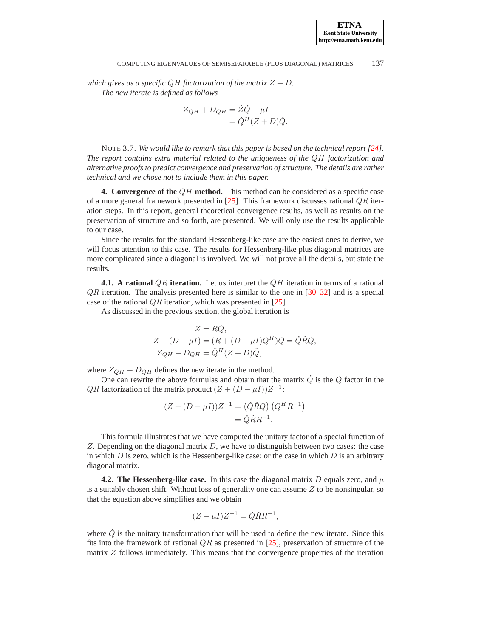*which gives us a specific QH factorization of the matrix*  $Z + D$ *. The new iterate is defined as follows*

$$
Z_{QH} + D_{QH} = \check{Z}\check{Q} + \mu I
$$
  
=  $\check{Q}^H (Z + D)\check{Q}.$ 

NOTE 3.7. We would like to remark that this paper is based on the technical report [\[24\]](#page-24-11). *The report contains extra material related to the uniqueness of the* QH *factorization and alternative proofs to predict convergence and preservation of structure. The details are rather technical and we chose not to include them in this paper.*

<span id="page-11-0"></span>**4. Convergence of the** QH **method.** This method can be considered as a specific case of a more general framework presented in  $[25]$ . This framework discusses rational  $QR$  iteration steps. In this report, general theoretical convergence results, as well as results on the preservation of structure and so forth, are presented. We will only use the results applicable to our case.

Since the results for the standard Hessenberg-like case are the easiest ones to derive, we will focus attention to this case. The results for Hessenberg-like plus diagonal matrices are more complicated since a diagonal is involved. We will not prove all the details, but state the results.

**4.1.** A rational QR iteration. Let us interpret the QH iteration in terms of a rational  $QR$  iteration. The analysis presented here is similar to the one in  $[30-32]$  $[30-32]$  and is a special case of the rational  $QR$  iteration, which was presented in [\[25](#page-24-12)].

As discussed in the previous section, the global iteration is

$$
Z = RQ,
$$
  
\n
$$
Z + (D - \mu I) = (R + (D - \mu I)Q^{H})Q = \check{Q}\check{R}Q,
$$
  
\n
$$
Z_{QH} + D_{QH} = \check{Q}^{H}(Z + D)\check{Q},
$$

where  $Z_{QH} + D_{QH}$  defines the new iterate in the method.

One can rewrite the above formulas and obtain that the matrix  $\check{Q}$  is the  $Q$  factor in the *QR* factorization of the matrix product  $(Z + (D - \mu I))Z^{-1}$ :

$$
(Z + (D - \mu I))Z^{-1} = (\check{Q}\check{R}Q) (Q^H R^{-1})
$$
  
=  $\check{Q}\check{R}R^{-1}$ .

This formula illustrates that we have computed the unitary factor of a special function of  $Z$ . Depending on the diagonal matrix  $D$ , we have to distinguish between two cases: the case in which  $D$  is zero, which is the Hessenberg-like case; or the case in which  $D$  is an arbitrary diagonal matrix.

**4.2. The Hessenberg-like case.** In this case the diagonal matrix D equals zero, and  $\mu$ is a suitably chosen shift. Without loss of generality one can assume  $Z$  to be nonsingular, so that the equation above simplifies and we obtain

$$
(Z - \mu I)Z^{-1} = \check{Q}\check{R}R^{-1},
$$

where  $\check{Q}$  is the unitary transformation that will be used to define the new iterate. Since this fits into the framework of rational  $QR$  as presented in [\[25](#page-24-12)], preservation of structure of the matrix Z follows immediately. This means that the convergence properties of the iteration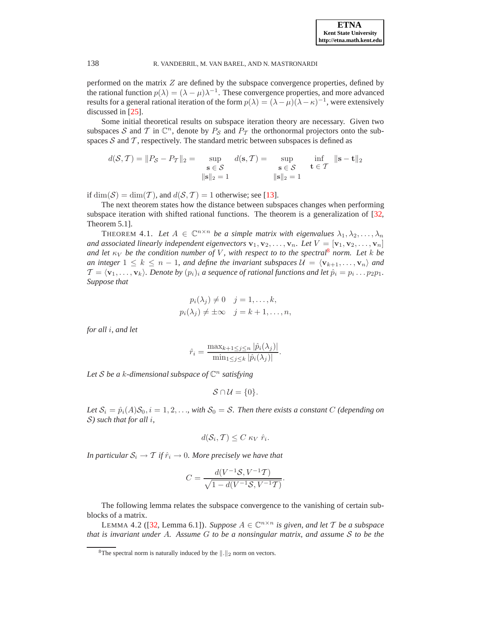performed on the matrix  $Z$  are defined by the subspace convergence properties, defined by the rational function  $p(\lambda) = (\lambda - \mu)\lambda^{-1}$ . These convergence properties, and more advanced results for a general rational iteration of the form  $p(\lambda) = (\lambda - \mu)(\lambda - \kappa)^{-1}$ , were extensively discussed in [\[25](#page-24-12)].

Some initial theoretical results on subspace iteration theory are necessary. Given two subspaces S and T in  $\mathbb{C}^n$ , denote by  $P_S$  and  $P_T$  the orthonormal projectors onto the subspaces  $S$  and  $T$ , respectively. The standard metric between subspaces is defined as

$$
d(\mathcal{S}, \mathcal{T}) = ||P_{\mathcal{S}} - P_{\mathcal{T}}||_2 = \sup_{\substack{\mathbf{s} \in \mathcal{S} \\ ||\mathbf{s}||_2 = 1}} d(\mathbf{s}, \mathcal{T}) = \sup_{\substack{\mathbf{s} \in \mathcal{S} \\ \|\mathbf{s}\|_2 = 1}} \inf_{\mathbf{t} \in \mathcal{T}} ||\mathbf{s} - \mathbf{t}||_2
$$

if  $\dim(\mathcal{S}) = \dim(\mathcal{T})$ , and  $d(\mathcal{S}, \mathcal{T}) = 1$  otherwise; see [\[13\]](#page-24-2).

The next theorem states how the distance between subspaces changes when performing subspace iteration with shifted rational functions. The theorem is a generalization of [\[32,](#page-24-14) Theorem 5.1].

THEOREM 4.1. Let  $A \in \mathbb{C}^{n \times n}$  be a simple matrix with eigenvalues  $\lambda_1, \lambda_2, \ldots, \lambda_n$ *and associated linearly independent eigenvectors*  $\mathbf{v}_1, \mathbf{v}_2, \ldots, \mathbf{v}_n$ *. Let*  $V = [\mathbf{v}_1, \mathbf{v}_2, \ldots, \mathbf{v}_n]$ *and let*  $\kappa_V$  *be the condition number of* V, with respect to to the spectral<sup>[8](#page-12-0)</sup> norm. Let k be *an integer*  $1 \leq k \leq n-1$ , and define the invariant subspaces  $\mathcal{U} = \langle \mathbf{v}_{k+1}, \ldots, \mathbf{v}_n \rangle$  and  $\mathcal{T} = \langle \mathbf{v}_1, \dots, \mathbf{v}_k \rangle$ . Denote by  $(p_i)_i$  a sequence of rational functions and let  $\hat{p}_i = p_i \dots p_2 p_1$ . *Suppose that*

$$
p_i(\lambda_j) \neq 0 \quad j = 1, ..., k,
$$
  

$$
p_i(\lambda_j) \neq \pm \infty \quad j = k + 1, ..., n,
$$

*for all* i*, and let*

$$
\hat{r}_i = \frac{\max_{k+1 \leq j \leq n} |\hat{p}_i(\lambda_j)|}{\min_{1 \leq j \leq k} |\hat{p}_i(\lambda_j)|}.
$$

*Let* <sup>S</sup> *be a* <sup>k</sup>*-dimensional subspace of* <sup>C</sup> n *satisfying*

$$
\mathcal{S}\cap\mathcal{U}=\{0\}.
$$

*Let*  $S_i = \hat{p}_i(A)S_0$ ,  $i = 1, 2, \ldots$ , with  $S_0 = S$ . Then there exists a constant C (depending on S*) such that for all* i*,*

$$
d(S_i, T) \leq C \kappa_V \hat{r}_i.
$$

*In particular*  $S_i \to T$  *if*  $\hat{r}_i \to 0$ *. More precisely we have that* 

$$
C = \frac{d(V^{-1}S, V^{-1}T)}{\sqrt{1 - d(V^{-1}S, V^{-1}T)}}.
$$

The following lemma relates the subspace convergence to the vanishing of certain subblocks of a matrix.

LEMMA 4.2 ([\[32,](#page-24-14) Lemma 6.1]). *Suppose*  $A \in \mathbb{C}^{n \times n}$  *is given, and let* T *be a subspace that is invariant under* A*. Assume* G *to be a nonsingular matrix, and assume* S *to be the*

<span id="page-12-0"></span><sup>&</sup>lt;sup>8</sup>The spectral norm is naturally induced by the  $\Vert . \Vert_2$  norm on vectors.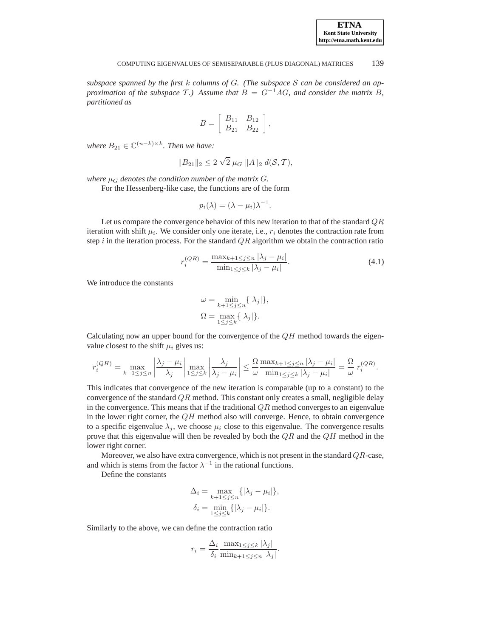*subspace spanned by the first* k *columns of* G*. (The subspace* S *can be considered an approximation of the subspace*  $\mathcal{T}$ *.)* Assume that  $B = G^{-1}AG$ *, and consider the matrix*  $B$ *, partitioned as*

$$
B = \left[ \begin{array}{cc} B_{11} & B_{12} \\ B_{21} & B_{22} \end{array} \right],
$$

where  $B_{21} \in \mathbb{C}^{(n-k)\times k}$ *. Then we have:* 

$$
||B_{21}||_2 \le 2 \sqrt{2} \mu_G ||A||_2 d(\mathcal{S}, \mathcal{T}),
$$

*where*  $\mu_G$  *denotes the condition number of the matrix G.* 

For the Hessenberg-like case, the functions are of the form

$$
p_i(\lambda) = (\lambda - \mu_i)\lambda^{-1}.
$$

Let us compare the convergence behavior of this new iteration to that of the standard  $QR$ iteration with shift  $\mu_i$ . We consider only one iterate, i.e.,  $r_i$  denotes the contraction rate from step i in the iteration process. For the standard  $QR$  algorithm we obtain the contraction ratio

$$
r_i^{(QR)} = \frac{\max_{k+1 \le j \le n} |\lambda_j - \mu_i|}{\min_{1 \le j \le k} |\lambda_j - \mu_i|}.
$$
 (4.1)

We introduce the constants

$$
\omega = \min_{k+1 \le j \le n} \{ |\lambda_j| \},
$$
  

$$
\Omega = \max_{1 \le j \le k} \{ |\lambda_j| \}.
$$

Calculating now an upper bound for the convergence of the  $QH$  method towards the eigenvalue closest to the shift  $\mu_i$  gives us:

$$
r_i^{(QH)} = \max_{k+1 \le j \le n} \left| \frac{\lambda_j - \mu_i}{\lambda_j} \right| \max_{1 \le j \le k} \left| \frac{\lambda_j}{\lambda_j - \mu_i} \right| \le \frac{\Omega}{\omega} \frac{\max_{k+1 \le j \le n} |\lambda_j - \mu_i|}{\min_{1 \le j \le k} |\lambda_j - \mu_i|} = \frac{\Omega}{\omega} r_i^{(QR)}.
$$

This indicates that convergence of the new iteration is comparable (up to a constant) to the convergence of the standard  $QR$  method. This constant only creates a small, negligible delay in the convergence. This means that if the traditional  $QR$  method converges to an eigenvalue in the lower right corner, the  $QH$  method also will converge. Hence, to obtain convergence to a specific eigenvalue  $\lambda_i$ , we choose  $\mu_i$  close to this eigenvalue. The convergence results prove that this eigenvalue will then be revealed by both the  $\overline{QR}$  and the  $\overline{QH}$  method in the lower right corner.

Moreover, we also have extra convergence, which is not present in the standard  $QR$ -case, and which is stems from the factor  $\lambda^{-1}$  in the rational functions.

Define the constants

$$
\Delta_i = \max_{k+1 \le j \le n} \{ |\lambda_j - \mu_i| \},
$$
  

$$
\delta_i = \min_{1 \le j \le k} \{ |\lambda_j - \mu_i| \}.
$$

Similarly to the above, we can define the contraction ratio

$$
r_i = \frac{\Delta_i}{\delta_i} \frac{\max_{1 \le j \le k} |\lambda_j|}{\min_{k+1 \le j \le n} |\lambda_j|}.
$$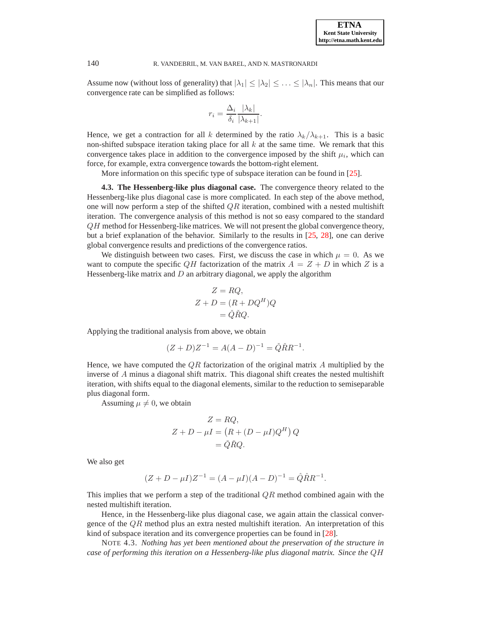Assume now (without loss of generality) that  $|\lambda_1| \leq |\lambda_2| \leq \ldots \leq |\lambda_n|$ . This means that our convergence rate can be simplified as follows:

$$
r_i = \frac{\Delta_i}{\delta_i} \frac{|\lambda_k|}{|\lambda_{k+1}|}.
$$

Hence, we get a contraction for all k determined by the ratio  $\lambda_k/\lambda_{k+1}$ . This is a basic non-shifted subspace iteration taking place for all  $k$  at the same time. We remark that this convergence takes place in addition to the convergence imposed by the shift  $\mu_i$ , which can force, for example, extra convergence towards the bottom-right element.

More information on this specific type of subspace iteration can be found in [\[25\]](#page-24-12).

**4.3. The Hessenberg-like plus diagonal case.** The convergence theory related to the Hessenberg-like plus diagonal case is more complicated. In each step of the above method, one will now perform a step of the shifted  $QR$  iteration, combined with a nested multishift iteration. The convergence analysis of this method is not so easy compared to the standard  $QH$  method for Hessenberg-like matrices. We will not present the global convergence theory, but a brief explanation of the behavior. Similarly to the results in [\[25,](#page-24-12) [28\]](#page-24-15), one can derive global convergence results and predictions of the convergence ratios.

We distinguish between two cases. First, we discuss the case in which  $\mu = 0$ . As we want to compute the specific QH factorization of the matrix  $A = Z + D$  in which Z is a Hessenberg-like matrix and  $D$  an arbitrary diagonal, we apply the algorithm

$$
Z = RQ,
$$
  
\n
$$
Z + D = (R + DQ^{H})Q
$$
  
\n
$$
= \check{Q}\check{R}Q.
$$

Applying the traditional analysis from above, we obtain

$$
(Z+D)Z^{-1} = A(A-D)^{-1} = \check{Q}\check{R}R^{-1}.
$$

Hence, we have computed the  $QR$  factorization of the original matrix A multiplied by the inverse of A minus a diagonal shift matrix. This diagonal shift creates the nested multishift iteration, with shifts equal to the diagonal elements, similar to the reduction to semiseparable plus diagonal form.

Assuming  $\mu \neq 0$ , we obtain

$$
Z = RQ,
$$
  
\n
$$
Z + D - \mu I = (R + (D - \mu I)Q^{H}) Q
$$
  
\n
$$
= \tilde{Q} \tilde{R}Q.
$$

We also get

$$
(Z + D - \mu I)Z^{-1} = (A - \mu I)(A - D)^{-1} = \hat{Q}\hat{R}R^{-1}.
$$

This implies that we perform a step of the traditional  $QR$  method combined again with the nested multishift iteration.

Hence, in the Hessenberg-like plus diagonal case, we again attain the classical convergence of the  $\mathbb{Q}R$  method plus an extra nested multishift iteration. An interpretation of this kind of subspace iteration and its convergence properties can be found in [\[28\]](#page-24-15).

NOTE 4.3. *Nothing has yet been mentioned about the preservation of the structure in case of performing this iteration on a Hessenberg-like plus diagonal matrix. Since the* QH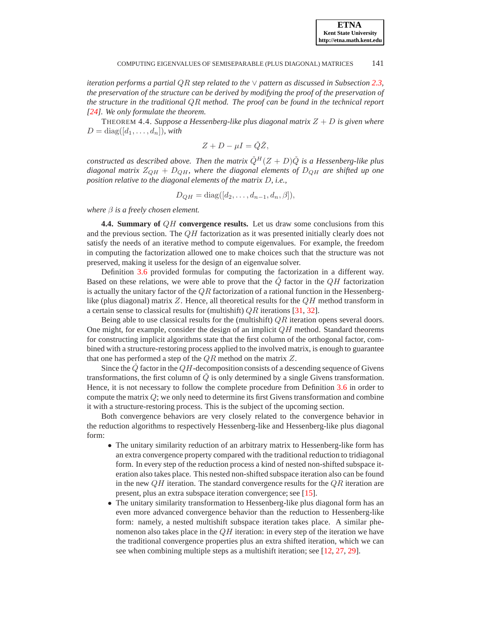*iteration performs a partial* QR *step related to the* ∨ *pattern as discussed in Subsection [2.3,](#page-5-1) the preservation of the structure can be derived by modifying the proof of the preservation of the structure in the traditional* QR *method. The proof can be found in the technical report [\[24\]](#page-24-11). We only formulate the theorem.*

<span id="page-15-0"></span>THEOREM 4.4. *Suppose a Hessenberg-like plus diagonal matrix* Z + D *is given where*  $D = \text{diag}([d_1, \ldots, d_n])$ *, with* 

$$
Z+D-\mu I=\check{Q}\check{Z},
$$

*constructed as described above. Then the matrix*  $\check{Q}^H(Z + D)\check{Q}$  *is a Hessenberg-like plus diagonal matrix*  $Z_{QH} + D_{QH}$ *, where the diagonal elements of*  $D_{QH}$  *are shifted up one position relative to the diagonal elements of the matrix* D*, i.e.,*

$$
D_{QH} = \text{diag}([d_2,\ldots,d_{n-1},d_n,\beta]),
$$

*where* β *is a freely chosen element.*

**4.4. Summary of** QH **convergence results.** Let us draw some conclusions from this and the previous section. The  $QH$  factorization as it was presented initially clearly does not satisfy the needs of an iterative method to compute eigenvalues. For example, the freedom in computing the factorization allowed one to make choices such that the structure was not preserved, making it useless for the design of an eigenvalue solver.

Definition [3.6](#page-10-0) provided formulas for computing the factorization in a different way. Based on these relations, we were able to prove that the  $Q$  factor in the  $QH$  factorization is actually the unitary factor of the  $QR$  factorization of a rational function in the Hessenberglike (plus diagonal) matrix  $Z$ . Hence, all theoretical results for the  $QH$  method transform in a certain sense to classical results for (multishift) QR iterations [\[31](#page-24-16), [32](#page-24-14)].

Being able to use classical results for the (multishift)  $QR$  iteration opens several doors. One might, for example, consider the design of an implicit  $QH$  method. Standard theorems for constructing implicit algorithms state that the first column of the orthogonal factor, combined with a structure-restoring process applied to the involved matrix, is enough to guarantee that one has performed a step of the  $QR$  method on the matrix  $Z$ .

Since the  $\dot{Q}$  factor in the  $QH$ -decomposition consists of a descending sequence of Givens transformations, the first column of  $\dot{Q}$  is only determined by a single Givens transformation. Hence, it is not necessary to follow the complete procedure from Definition [3.6](#page-10-0) in order to compute the matrix  $Q$ ; we only need to determine its first Givens transformation and combine it with a structure-restoring process. This is the subject of the upcoming section.

Both convergence behaviors are very closely related to the convergence behavior in the reduction algorithms to respectively Hessenberg-like and Hessenberg-like plus diagonal form:

- The unitary similarity reduction of an arbitrary matrix to Hessenberg-like form has an extra convergence property compared with the traditional reduction to tridiagonal form. In every step of the reduction process a kind of nested non-shifted subspace iteration also takes place. This nested non-shifted subspace iteration also can be found in the new  $QH$  iteration. The standard convergence results for the  $QR$  iteration are present, plus an extra subspace iteration convergence; see [\[15\]](#page-24-17).
- The unitary similarity transformation to Hessenberg-like plus diagonal form has an even more advanced convergence behavior than the reduction to Hessenberg-like form: namely, a nested multishift subspace iteration takes place. A similar phenomenon also takes place in the  $QH$  iteration: in every step of the iteration we have the traditional convergence properties plus an extra shifted iteration, which we can see when combining multiple steps as a multishift iteration; see [\[12](#page-24-18), [27](#page-24-19), [29](#page-24-20)].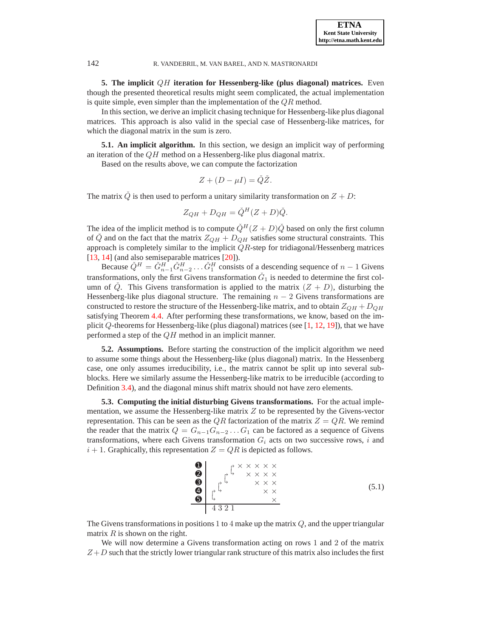**5. The implicit** QH **iteration for Hessenberg-like (plus diagonal) matrices.** Even though the presented theoretical results might seem complicated, the actual implementation is quite simple, even simpler than the implementation of the  $QR$  method.

In this section, we derive an implicit chasing technique for Hessenberg-like plus diagonal matrices. This approach is also valid in the special case of Hessenberg-like matrices, for which the diagonal matrix in the sum is zero.

**5.1. An implicit algorithm.** In this section, we design an implicit way of performing an iteration of the  $QH$  method on a Hessenberg-like plus diagonal matrix.

Based on the results above, we can compute the factorization

$$
Z + (D - \mu I) = \check{Q}\check{Z}.
$$

The matrix  $\dot{Q}$  is then used to perform a unitary similarity transformation on  $Z + D$ :

$$
Z_{QH} + D_{QH} = \check{Q}^H (Z + D)\check{Q}.
$$

The idea of the implicit method is to compute  $\check{Q}^H(Z + D)\check{Q}$  based on only the first column of  $\check{Q}$  and on the fact that the matrix  $Z_{QH} + D_{QH}$  satisfies some structural constraints. This approach is completely similar to the implicit  $QR$ -step for tridiagonal/Hessenberg matrices [\[13](#page-24-2), [14](#page-24-3)] (and also semiseparable matrices [\[20](#page-24-1)]).

Because  $\check{Q}^H = \check{G}_{n-1}^H \check{G}_{n-2}^H \dots \check{G}_1^H$  consists of a descending sequence of  $n-1$  Givens transformations, only the first Givens transformation  $\check{G}_1$  is needed to determine the first column of  $\check{Q}$ . This Givens transformation is applied to the matrix  $(Z + D)$ , disturbing the Hessenberg-like plus diagonal structure. The remaining  $n - 2$  Givens transformations are constructed to restore the structure of the Hessenberg-like matrix, and to obtain  $Z_{QH} + D_{QH}$ satisfying Theorem [4.4.](#page-15-0) After performing these transformations, we know, based on the implicit  $Q$ -theorems for Hessenberg-like (plus diagonal) matrices (see [\[1](#page-22-0), [12](#page-24-18), [19\]](#page-24-21)), that we have performed a step of the  $QH$  method in an implicit manner.

**5.2. Assumptions.** Before starting the construction of the implicit algorithm we need to assume some things about the Hessenberg-like (plus diagonal) matrix. In the Hessenberg case, one only assumes irreducibility, i.e., the matrix cannot be split up into several subblocks. Here we similarly assume the Hessenberg-like matrix to be irreducible (according to Definition [3.4\)](#page-10-1), and the diagonal minus shift matrix should not have zero elements.

**5.3. Computing the initial disturbing Givens transformations.** For the actual implementation, we assume the Hessenberg-like matrix  $Z$  to be represented by the Givens-vector representation. This can be seen as the  $QR$  factorization of the matrix  $Z = QR$ . We remind the reader that the matrix  $Q = G_{n-1}G_{n-2} \ldots G_1$  can be factored as a sequence of Givens transformations, where each Givens transformation  $G_i$  acts on two successive rows, i and  $i + 1$ . Graphically, this representation  $Z = QR$  is depicted as follows.

<span id="page-16-1"></span>➊ × × × × × ➋ × × × × ➌ × × × ➍ × × ➎ × 4 3 2 1 (5.1)

The Givens transformations in positions 1 to 4 make up the matrix  $Q$ , and the upper triangular matrix  $R$  is shown on the right.

We will now determine a Givens transformation acting on rows 1 and 2 of the matrix  $Z+D$  such that the strictly lower triangular rank structure of this matrix also includes the first

<span id="page-16-0"></span>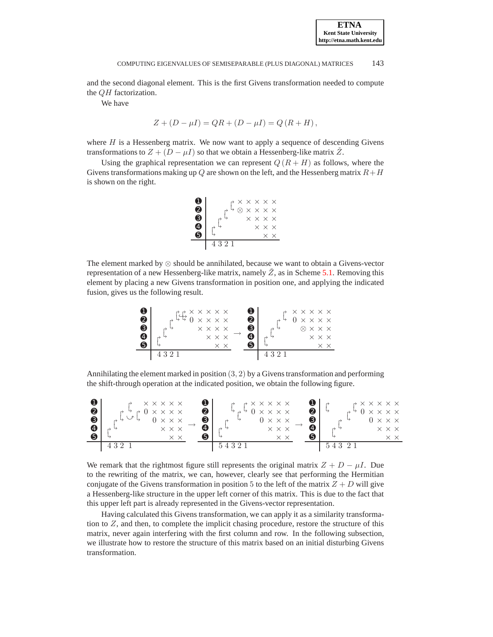and the second diagonal element. This is the first Givens transformation needed to compute the QH factorization.

We have

$$
Z + (D - \mu I) = QR + (D - \mu I) = Q (R + H),
$$

where  $H$  is a Hessenberg matrix. We now want to apply a sequence of descending Givens transformations to  $Z + (D - \mu I)$  so that we obtain a Hessenberg-like matrix Z.

Using the graphical representation we can represent  $Q(R + H)$  as follows, where the Givens transformations making up  $Q$  are shown on the left, and the Hessenberg matrix  $R+H$ is shown on the right.



The element marked by ⊗ should be annihilated, because we want to obtain a Givens-vector representation of a new Hessenberg-like matrix, namely  $\overline{Z}$ , as in Scheme [5.1.](#page-16-1) Removing this element by placing a new Givens transformation in position one, and applying the indicated fusion, gives us the following result.

$$
\begin{array}{c|c|c|c|c|c|c|c} \mathbf{0} & \text{if } \mathbf{X} \times \mathbf{X} \times \mathbf{X} & \mathbf{0} \\ \hline \mathbf{0} & \text{if } \mathbf{X} \times \mathbf{X} & \mathbf{X} \times \mathbf{X} & \mathbf{0} \\ \hline \mathbf{0} & \text{if } \mathbf{X} \times \mathbf{X} & \mathbf{X} \times \mathbf{X} & \mathbf{X} \times \mathbf{X} \\ \hline \mathbf{0} & \text{if } \mathbf{X} \times \mathbf{X} & \mathbf{X} \times \mathbf{X} & \mathbf{X} \times \mathbf{X} \times \mathbf{X} \\ \hline \mathbf{0} & \text{if } \mathbf{X} \times \mathbf{X} & \mathbf{X} \times \mathbf{X} & \mathbf{X} \times \mathbf{X} \times \mathbf{X} \\ \hline \mathbf{0} & \text{if } \mathbf{X} \times \mathbf{X} & \mathbf{X} \times \mathbf{X} & \mathbf{X} \times \mathbf{X} \times \mathbf{X} & \mathbf{X} \times \mathbf{X} \times \mathbf{X} \times \mathbf{X} \times \mathbf{X} \times \mathbf{X} \times \mathbf{X} \times \mathbf{X} \times \mathbf{X} \times \mathbf{X} \times \mathbf{X} \times \mathbf{X} \times \mathbf{X} \times \mathbf{X} \times \mathbf{X} \times \mathbf{X} \times \mathbf{X} \times \mathbf{X} \times \mathbf{X} \times \mathbf{X} \times \mathbf{X} \times \mathbf{X} \times \mathbf{X} \times \mathbf{X} \times \mathbf{X} \times \mathbf{X} \times \mathbf{X} \times \mathbf{X} \times \mathbf{X} \times \mathbf{X} \times \mathbf{X} \times \mathbf{X} \times \mathbf{X} \times \mathbf{X} \times \mathbf{X} \times \mathbf{X} \times \mathbf{X} \times \mathbf{X} \times \mathbf{X} \times \mathbf{X} \times \mathbf{X} \times \mathbf{X} \times \mathbf{X} \times \mathbf{X} \times \mathbf{X} \times \mathbf{X} \times \mathbf{X} \times \mathbf{X
$$

Annihilating the element marked in position  $(3, 2)$  by a Givens transformation and performing the shift-through operation at the indicated position, we obtain the following figure.

| 0<br>❷<br>❸<br>$\bullet$<br>$\boldsymbol{\Theta}$ | $\times$ $\times$ $\times$ $\times$ $\times$<br>$\rightarrow$ 0 $\times$ $\times$ $\times$ $\times$<br>$\rightarrow$<br>$0 \times$<br>$\times$ $\times$ $\times$<br>$\times$ $\times$ | ❶<br>❷<br>❸<br>❹<br>❺ | $\rightarrow$<br>↳<br>⇁<br>$\rightarrow$ | $A \times X \times X \times X$<br>$\sim 0 \times x \times x$<br>$0 \times \times \times$<br>$\times$ $\times$ $\times$<br>$\times~\times$ | ❷<br>ഒ<br>$\boldsymbol{\Omega}$<br>0 | ⇁<br>⇁ | $\rightarrow$ $\times$ $\times$ $\times$ $\times$<br>$\frac{1}{2}$ 0 x x x x<br>$0 \times \times \times$<br>$\times$ $\times$ $\times$<br>$\times~\times$ |
|---------------------------------------------------|---------------------------------------------------------------------------------------------------------------------------------------------------------------------------------------|-----------------------|------------------------------------------|-------------------------------------------------------------------------------------------------------------------------------------------|--------------------------------------|--------|-----------------------------------------------------------------------------------------------------------------------------------------------------------|
|                                                   |                                                                                                                                                                                       |                       | 54321                                    |                                                                                                                                           |                                      | 5432   |                                                                                                                                                           |

We remark that the rightmost figure still represents the original matrix  $Z + D - \mu I$ . Due to the rewriting of the matrix, we can, however, clearly see that performing the Hermitian conjugate of the Givens transformation in position 5 to the left of the matrix  $Z + D$  will give a Hessenberg-like structure in the upper left corner of this matrix. This is due to the fact that this upper left part is already represented in the Givens-vector representation.

Having calculated this Givens transformation, we can apply it as a similarity transformation to  $Z$ , and then, to complete the implicit chasing procedure, restore the structure of this matrix, never again interfering with the first column and row. In the following subsection, we illustrate how to restore the structure of this matrix based on an initial disturbing Givens transformation.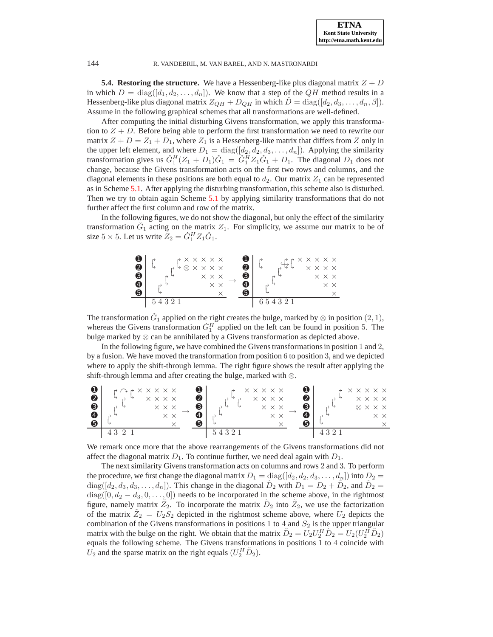**5.4. Restoring the structure.** We have a Hessenberg-like plus diagonal matrix  $Z + D$ in which  $D = \text{diag}([d_1, d_2, \dots, d_n])$ . We know that a step of the QH method results in a Hessenberg-like plus diagonal matrix  $Z_{QH} + D_{QH}$  in which  $D = diag([d_2, d_3, \ldots, d_n, \beta]).$ Assume in the following graphical schemes that all transformations are well-defined.

After computing the initial disturbing Givens transformation, we apply this transformation to  $Z + D$ . Before being able to perform the first transformation we need to rewrite our matrix  $Z + D = Z_1 + D_1$ , where  $Z_1$  is a Hessenberg-like matrix that differs from Z only in the upper left element, and where  $D_1 = \text{diag}([d_2, d_2, d_3, \dots, d_n])$ . Applying the similarity transformation gives us  $\check{G}_1^H(Z_1 + D_1)\check{G}_1 = \check{G}_1^H Z_1 \check{G}_1 + D_1$ . The diagonal  $D_1$  does not change, because the Givens transformation acts on the first two rows and columns, and the diagonal elements in these positions are both equal to  $d_2$ . Our matrix  $Z_1$  can be represented as in Scheme [5.1.](#page-16-1) After applying the disturbing transformation, this scheme also is disturbed. Then we try to obtain again Scheme [5.1](#page-16-1) by applying similarity transformations that do not further affect the first column and row of the matrix.

In the following figures, we do not show the diagonal, but only the effect of the similarity transformation  $\check{G}_1$  acting on the matrix  $Z_1$ . For simplicity, we assume our matrix to be of size  $5 \times 5$ . Let us write  $\tilde{Z}_2 = \tilde{G}_1^H Z_1 \tilde{G}_1$ .

| O<br>❷<br>❸ | $A \times X \times X \times X$<br>$4 \otimes x \times x \times x$ | $\times$ $\times$ $\times$ | ❷<br>❸ |        | $\rightarrow$ $\times$ $\times$ $\times$ $\times$<br>$X$ $X$ $X$ $X$<br>$\times$ $\times$ $\times$ |
|-------------|-------------------------------------------------------------------|----------------------------|--------|--------|----------------------------------------------------------------------------------------------------|
| ❹<br>❺      |                                                                   | $\times$ $\times$          | A<br>6 |        | $\times$ $\times$                                                                                  |
|             | 54321                                                             |                            |        | 654321 |                                                                                                    |

The transformation  $\check{G}_1$  applied on the right creates the bulge, marked by  $\otimes$  in position  $(2, 1)$ , whereas the Givens transformation  $\check{G}_1^H$  applied on the left can be found in position 5. The bulge marked by  $\otimes$  can be annihilated by a Givens transformation as depicted above.

In the following figure, we have combined the Givens transformations in position 1 and 2, by a fusion. We have moved the transformation from position 6 to position 3, and we depicted where to apply the shift-through lemma. The right figure shows the result after applying the shift-through lemma and after creating the bulge, marked with ⊗.

| $\mathbf 0$<br>❷<br>❸<br>$\boldsymbol{\omega}$<br>0 | ⇁   | $\rightarrow \land \rightarrow \times \times \times \times \times$<br>$\times$ $\times$ $\times$ $\times$<br>$\times$ $\times$ $\times$<br>$\times$ $\times$ | o<br>❷<br>❸<br>Ω<br>6 | $\rightarrow$<br>⇁ | $X$ $X$ $X$ $X$ $X$<br>$X$ $X$ $X$ $X$<br>$\times$ $\times$ $\times$<br>$\times$ $\times$ | a<br>0<br>❸<br>Ω<br>6 | ⇁<br>↛ | $\rightarrow$ $\times$ $\times$ $\times$ $\times$<br>$X$ $X$ $X$ $X$<br>$\otimes$ $\times$ $\times$ $\times$<br>$\times$ $\times$ |
|-----------------------------------------------------|-----|--------------------------------------------------------------------------------------------------------------------------------------------------------------|-----------------------|--------------------|-------------------------------------------------------------------------------------------|-----------------------|--------|-----------------------------------------------------------------------------------------------------------------------------------|
|                                                     | 432 |                                                                                                                                                              |                       | 54321              |                                                                                           |                       |        |                                                                                                                                   |

We remark once more that the above rearrangements of the Givens transformations did not affect the diagonal matrix  $D_1$ . To continue further, we need deal again with  $D_1$ .

The next similarity Givens transformation acts on columns and rows 2 and 3. To perform the procedure, we first change the diagonal matrix  $D_1 = \text{diag}([d_2, d_2, d_3, \dots, d_n])$  into  $D_2 =$  $diag([d_2, d_3, d_3, \ldots, d_n])$ . This change in the diagonal  $\tilde{D}_2$  with  $D_1 = D_2 + \tilde{D}_2$ , and  $\tilde{D}_2 =$  $diag([0, d_2 - d_3, 0, \ldots, 0])$  needs to be incorporated in the scheme above, in the rightmost figure, namely matrix  $Z_2$ . To incorporate the matrix  $\tilde{D}_2$  into  $\tilde{Z}_2$ , we use the factorization of the matrix  $\tilde{Z}_2 = U_2 S_2$  depicted in the rightmost scheme above, where  $U_2$  depicts the combination of the Givens transformations in positions 1 to 4 and  $S_2$  is the upper triangular matrix with the bulge on the right. We obtain that the matrix  $\tilde{D}_2 = U_2 U_2^H \tilde{D}_2 = U_2 (U_2^H \tilde{D}_2)$ equals the following scheme. The Givens transformations in positions 1 to 4 coincide with  $U_2$  and the sparse matrix on the right equals  $(U_2^H \tilde{D}_2)$ .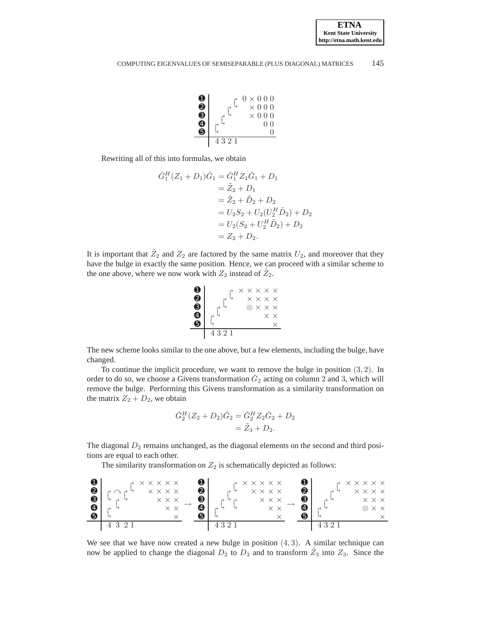

Rewriting all of this into formulas, we obtain

$$
\check{G}_1^H (Z_1 + D_1) \check{G}_1 = \check{G}_1^H Z_1 \check{G}_1 + D_1
$$
  
=  $\tilde{Z}_2 + D_1$   
=  $\tilde{Z}_2 + \tilde{D}_2 + D_2$   
=  $U_2 S_2 + U_2 (U_2^H \tilde{D}_2) + D_2$   
=  $U_2 (S_2 + U_2^H \tilde{D}_2) + D_2$   
=  $Z_2 + D_2$ .

It is important that  $\tilde{Z}_2$  and  $Z_2$  are factored by the same matrix  $U_2$ , and moreover that they have the bulge in exactly the same position. Hence, we can proceed with a similar scheme to the one above, where we now work with  $Z_2$  instead of  $\tilde{Z}_2$ .



The new scheme looks similar to the one above, but a few elements, including the bulge, have changed.

To continue the implicit procedure, we want to remove the bulge in position (3, 2). In order to do so, we choose a Givens transformation  $\check{G}_2$  acting on column 2 and 3, which will remove the bulge. Performing this Givens transformation as a similarity transformation on the matrix  $Z_2 + D_2$ , we obtain

$$
\check{G}_2^H (Z_2 + D_2) \check{G}_2 = \check{G}_2^H Z_2 \check{G}_2 + D_2 \n= \tilde{Z}_3 + D_2.
$$

The diagonal  $D_2$  remains unchanged, as the diagonal elements on the second and third positions are equal to each other.

The similarity transformation on  $Z_2$  is schematically depicted as follows:



We see that we have now created a new bulge in position  $(4, 3)$ . A similar technique can now be applied to change the diagonal  $D_2$  to  $D_3$  and to transform  $\tilde{Z}_3$  into  $Z_3$ . Since the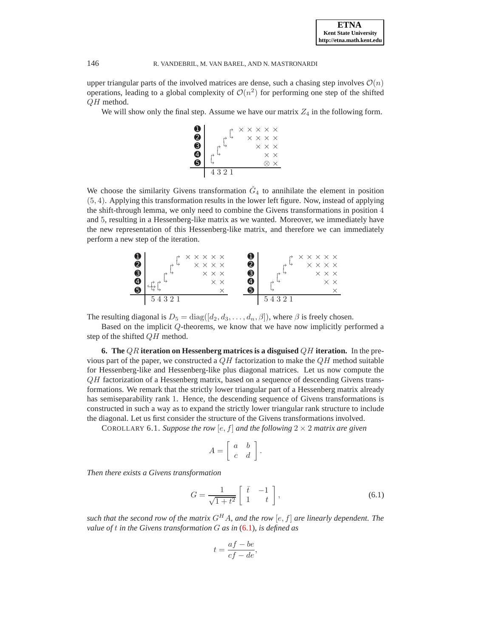upper triangular parts of the involved matrices are dense, such a chasing step involves  $\mathcal{O}(n)$ operations, leading to a global complexity of  $\mathcal{O}(n^2)$  for performing one step of the shifted QH method.

We will show only the final step. Assume we have our matrix  $Z_4$  in the following form.



We choose the similarity Givens transformation  $\tilde{G}_4$  to annihilate the element in position (5, 4). Applying this transformation results in the lower left figure. Now, instead of applying the shift-through lemma, we only need to combine the Givens transformations in position 4 and 5, resulting in a Hessenberg-like matrix as we wanted. Moreover, we immediately have the new representation of this Hessenberg-like matrix, and therefore we can immediately perform a new step of the iteration.



The resulting diagonal is  $D_5 = \text{diag}([d_2, d_3, \dots, d_n, \beta])$ , where  $\beta$  is freely chosen.

Based on the implicit Q-theorems, we know that we have now implicitly performed a step of the shifted QH method.

<span id="page-20-0"></span>**6. The** QR **iteration on Hessenberg matrices is a disguised** QH **iteration.** In the previous part of the paper, we constructed a  $QH$  factorization to make the  $QH$  method suitable for Hessenberg-like and Hessenberg-like plus diagonal matrices. Let us now compute the QH factorization of a Hessenberg matrix, based on a sequence of descending Givens transformations. We remark that the strictly lower triangular part of a Hessenberg matrix already has semiseparability rank 1. Hence, the descending sequence of Givens transformations is constructed in such a way as to expand the strictly lower triangular rank structure to include the diagonal. Let us first consider the structure of the Givens transformations involved.

COROLLARY 6.1. Suppose the row  $[e, f]$  and the following  $2 \times 2$  matrix are given

$$
A = \left[ \begin{array}{cc} a & b \\ c & d \end{array} \right].
$$

*Then there exists a Givens transformation*

<span id="page-20-1"></span>
$$
G = \frac{1}{\sqrt{1+t^2}} \begin{bmatrix} \bar{t} & -1 \\ 1 & t \end{bmatrix},
$$
\n(6.1)

*such that the second row of the matrix*  $G<sup>H</sup>A$ *, and the row* [e, f] *are linearly dependent. The value of* t *in the Givens transformation* G *as in* [\(6.1\)](#page-20-1)*, is defined as*

$$
t = \frac{af - be}{cf - de},
$$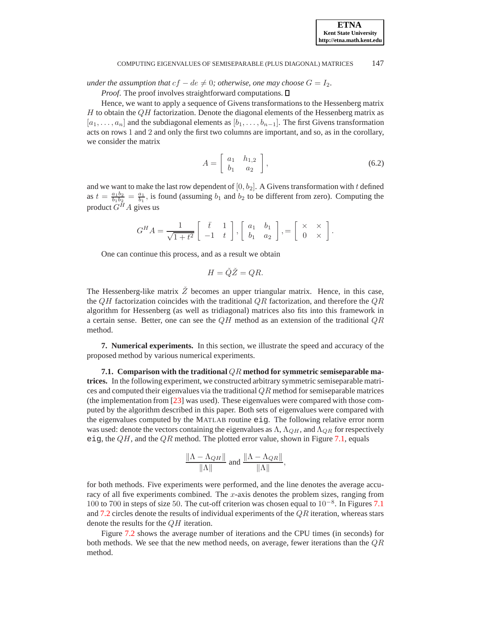*under the assumption that*  $cf - de \neq 0$ ; *otherwise, one may choose*  $G = I_2$ .

*Proof.* The proof involves straightforward computations.  $\square$ 

Hence, we want to apply a sequence of Givens transformations to the Hessenberg matrix  $H$  to obtain the  $QH$  factorization. Denote the diagonal elements of the Hessenberg matrix as  $[a_1, \ldots, a_n]$  and the subdiagonal elements as  $[b_1, \ldots, b_{n-1}]$ . The first Givens transformation acts on rows 1 and 2 and only the first two columns are important, and so, as in the corollary, we consider the matrix

$$
A = \left[ \begin{array}{cc} a_1 & h_{1,2} \\ b_1 & a_2 \end{array} \right],\tag{6.2}
$$

and we want to make the last row dependent of  $[0, b<sub>2</sub>]$ . A Givens transformation with t defined as  $t = \frac{a_1b_2}{b_1b_2} = \frac{a_1}{b_1}$ , is found (assuming  $b_1$  and  $b_2$  to be different from zero). Computing the product  $G^H A$  gives us

$$
G^H A = \frac{1}{\sqrt{1+t^2}} \left[ \begin{array}{cc} \bar{t} & 1 \\ -1 & t \end{array} \right], \left[ \begin{array}{cc} a_1 & b_1 \\ b_1 & a_2 \end{array} \right], = \left[ \begin{array}{cc} \times & \times \\ 0 & \times \end{array} \right].
$$

One can continue this process, and as a result we obtain

$$
H = \check{Q}\check{Z} = QR.
$$

The Hessenberg-like matrix  $\check{Z}$  becomes an upper triangular matrix. Hence, in this case, the  $QH$  factorization coincides with the traditional  $QR$  factorization, and therefore the  $QR$ algorithm for Hessenberg (as well as tridiagonal) matrices also fits into this framework in a certain sense. Better, one can see the  $QH$  method as an extension of the traditional  $QR$ method.

<span id="page-21-0"></span>**7. Numerical experiments.** In this section, we illustrate the speed and accuracy of the proposed method by various numerical experiments.

**7.1. Comparison with the traditional** QR **method for symmetric semiseparable matrices.** In the following experiment, we constructed arbitrary symmetric semiseparable matrices and computed their eigenvalues via the traditional  $QR$  method for semiseparable matrices (the implementation from [\[23](#page-24-22)] was used). These eigenvalues were compared with those computed by the algorithm described in this paper. Both sets of eigenvalues were compared with the eigenvalues computed by the MATLAB routine eig. The following relative error norm was used: denote the vectors containing the eigenvalues as  $\Lambda$ ,  $\Lambda_{OH}$ , and  $\Lambda_{OR}$  for respectively eig, the  $QH$ , and the  $QR$  method. The plotted error value, shown in Figure [7.1,](#page-22-1) equals

$$
\frac{\|\Lambda - \Lambda_{QH}\|}{\|\Lambda\|} \text{ and } \frac{\|\Lambda - \Lambda_{QR}\|}{\|\Lambda\|},
$$

for both methods. Five experiments were performed, and the line denotes the average accuracy of all five experiments combined. The x-axis denotes the problem sizes, ranging from 100 to 700 in steps of size 50. The cut-off criterion was chosen equal to 10<sup>-8</sup>. In Figures [7.1](#page-22-1) and [7.2](#page-22-2) circles denote the results of individual experiments of the  $QR$  iteration, whereas stars denote the results for the QH iteration.

Figure [7.2](#page-22-2) shows the average number of iterations and the CPU times (in seconds) for both methods. We see that the new method needs, on average, fewer iterations than the  $QR$ method.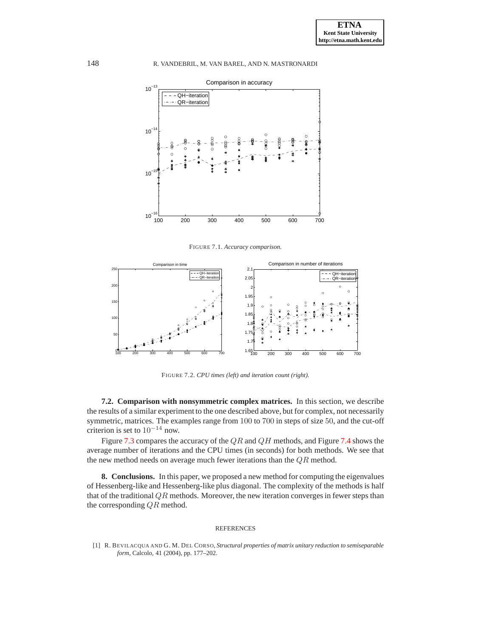

<span id="page-22-1"></span>FIGURE 7.1. *Accuracy comparison.*



<span id="page-22-2"></span>FIGURE 7.2. *CPU times (left) and iteration count (right).*

**7.2. Comparison with nonsymmetric complex matrices.** In this section, we describe the results of a similar experiment to the one described above, but for complex, not necessarily symmetric, matrices. The examples range from 100 to 700 in steps of size 50, and the cut-off criterion is set to  $10^{-14}$  now.

Figure [7.3](#page-23-7) compares the accuracy of the  $QR$  and  $QH$  methods, and Figure [7.4](#page-23-8) shows the average number of iterations and the CPU times (in seconds) for both methods. We see that the new method needs on average much fewer iterations than the QR method.

**8. Conclusions.** In this paper, we proposed a new method for computing the eigenvalues of Hessenberg-like and Hessenberg-like plus diagonal. The complexity of the methods is half that of the traditional  $QR$  methods. Moreover, the new iteration converges in fewer steps than the corresponding  $QR$  method.

#### REFERENCES

<span id="page-22-0"></span>[1] R. BEVILACQUA AND G. M. DEL CORSO, *Structural properties of matrix unitary reduction to semiseparable form*, Calcolo, 41 (2004), pp. 177–202.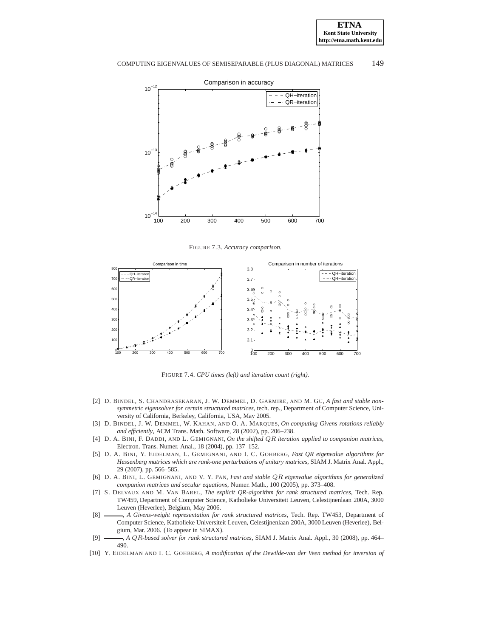



<span id="page-23-7"></span>FIGURE 7.3. *Accuracy comparison.*



<span id="page-23-8"></span>FIGURE 7.4. *CPU times (left) and iteration count (right).*

- <span id="page-23-0"></span>[2] D. BINDEL, S. CHANDRASEKARAN, J. W. DEMMEL, D. GARMIRE, AND M. GU, *A fast and stable nonsymmetric eigensolver for certain structured matrices*, tech. rep., Department of Computer Science, University of California, Berkeley, California, USA, May 2005.
- <span id="page-23-6"></span>[3] D. BINDEL, J. W. DEMMEL, W. KAHAN, AND O. A. MARQUES, *On computing Givens rotations reliably and efficiently*, ACM Trans. Math. Software, 28 (2002), pp. 206–238.
- <span id="page-23-1"></span>[4] D. A. BINI, F. DADDI, AND L. GEMIGNANI, *On the shifted* QR *iteration applied to companion matrices*, Electron. Trans. Numer. Anal., 18 (2004), pp. 137–152.
- [5] D. A. BINI, Y. EIDELMAN, L. GEMIGNANI, AND I. C. GOHBERG, *Fast QR eigenvalue algorithms for Hessenberg matrices which are rank-one perturbations of unitary matrices*, SIAM J. Matrix Anal. Appl., 29 (2007), pp. 566–585.
- [6] D. A. BINI, L. GEMIGNANI, AND V. Y. PAN, *Fast and stable* QR *eigenvalue algorithms for generalized companion matrices and secular equations*, Numer. Math., 100 (2005), pp. 373–408.
- <span id="page-23-2"></span>[7] S. DELVAUX AND M. VAN BAREL, *The explicit QR-algorithm for rank structured matrices*, Tech. Rep. TW459, Department of Computer Science, Katholieke Universiteit Leuven, Celestijnenlaan 200A, 3000 Leuven (Heverlee), Belgium, May 2006.
- <span id="page-23-3"></span>[8]  $\longrightarrow$ , *A Givens-weight representation for rank structured matrices*, Tech. Rep. TW453, Department of Computer Science, Katholieke Universiteit Leuven, Celestijnenlaan 200A, 3000 Leuven (Heverlee), Belgium, Mar. 2006. (To appear in SIMAX).
- <span id="page-23-4"></span>[9] , *A* QR*-based solver for rank structured matrices*, SIAM J. Matrix Anal. Appl., 30 (2008), pp. 464– 490.
- <span id="page-23-5"></span>[10] Y. EIDELMAN AND I. C. GOHBERG, *A modification of the Dewilde-van der Veen method for inversion of*